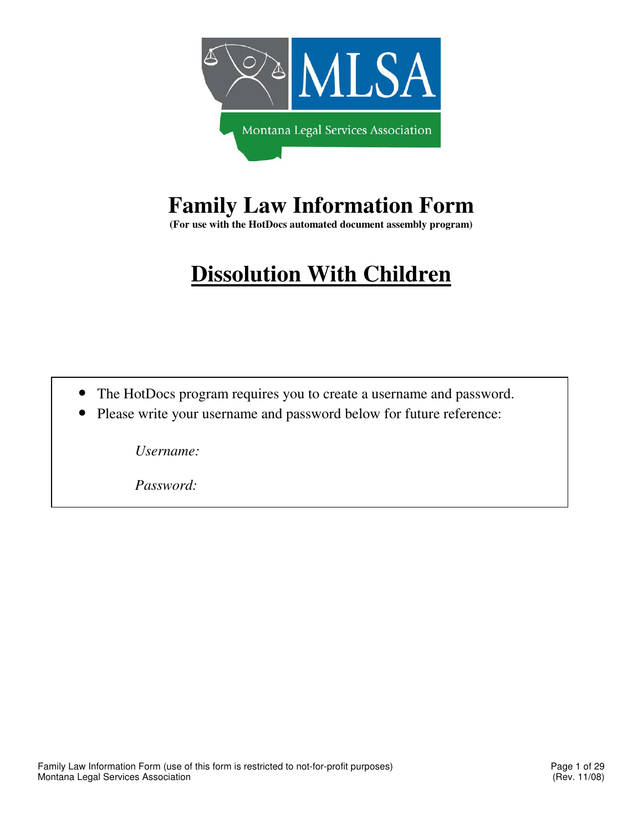

# **Family Law Information Form**

**(For use with the HotDocs automated document assembly program)** 

# **Dissolution With Children**

- The HotDocs program requires you to create a username and password.
- Please write your username and password below for future reference:

*Username:* 

*Password:*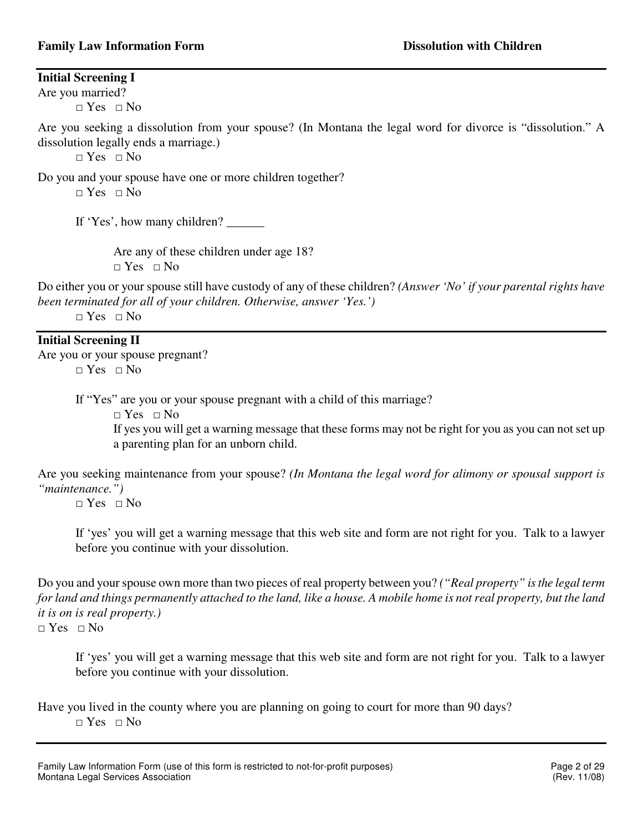**Initial Screening I** 

Are you married?

 $\Box$  Yes  $\Box$  No

Are you seeking a dissolution from your spouse? (In Montana the legal word for divorce is "dissolution." A dissolution legally ends a marriage.)

 $\Box$  Yes  $\Box$  No

Do you and your spouse have one or more children together?  $\neg$  Yes  $\neg$  No

If 'Yes', how many children? \_\_\_\_\_\_\_

 Are any of these children under age 18? □ Yes □ No

Do either you or your spouse still have custody of any of these children? *(Answer 'No' if your parental rights have been terminated for all of your children. Otherwise, answer 'Yes.')* 

 $\neg$  Yes  $\neg$  No

# **Initial Screening II**

Are you or your spouse pregnant?  $\neg$  Yes  $\neg$  No

If "Yes" are you or your spouse pregnant with a child of this marriage?

 $\Box$  Yes  $\Box$  No

If yes you will get a warning message that these forms may not be right for you as you can not set up a parenting plan for an unborn child.

Are you seeking maintenance from your spouse? *(In Montana the legal word for alimony or spousal support is "maintenance.")* 

 $\Box$  Yes  $\Box$  No

If 'yes' you will get a warning message that this web site and form are not right for you. Talk to a lawyer before you continue with your dissolution.

Do you and your spouse own more than two pieces of real property between you? *("Real property" is the legal term for land and things permanently attached to the land, like a house. A mobile home is not real property, but the land it is on is real property.)* 

 $\Box$  Yes  $\Box$  No

If 'yes' you will get a warning message that this web site and form are not right for you. Talk to a lawyer before you continue with your dissolution.

Have you lived in the county where you are planning on going to court for more than 90 days? □ Yes □ No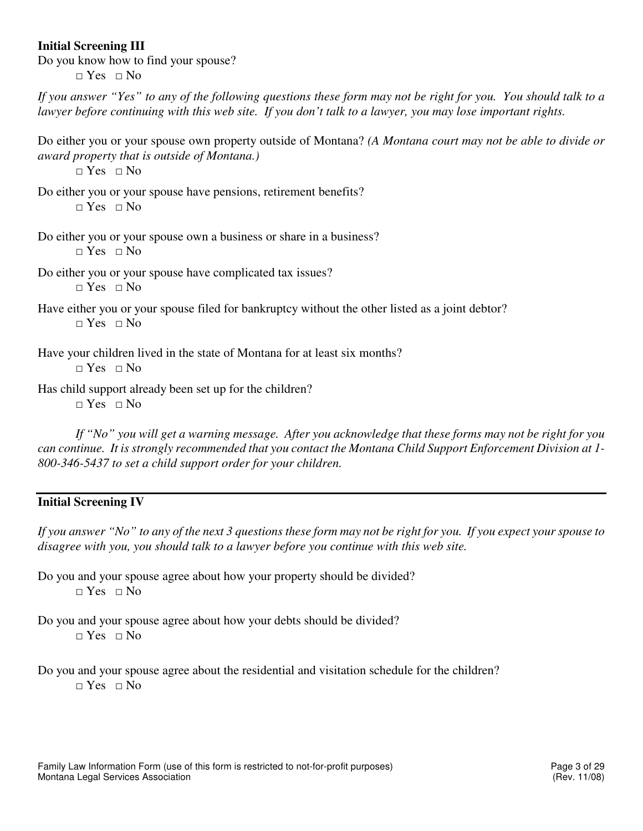# **Initial Screening III**

Do you know how to find your spouse?

 $\Box$  Yes  $\Box$  No

*If you answer "Yes" to any of the following questions these form may not be right for you. You should talk to a lawyer before continuing with this web site. If you don't talk to a lawyer, you may lose important rights.* 

Do either you or your spouse own property outside of Montana? *(A Montana court may not be able to divide or award property that is outside of Montana.)* 

 $\Box$  Yes  $\Box$  No

Do either you or your spouse have pensions, retirement benefits? □ Yes □ No

Do either you or your spouse own a business or share in a business?  $\neg$  Yes  $\neg$  No

Do either you or your spouse have complicated tax issues?  $\Box$  Yes  $\Box$  No

Have either you or your spouse filed for bankruptcy without the other listed as a joint debtor?  $\Box$  Yes  $\Box$  No

Have your children lived in the state of Montana for at least six months?  $\Box$  Yes  $\Box$  No

Has child support already been set up for the children?  $\neg$  Yes  $\neg$  No

*If "No" you will get a warning message. After you acknowledge that these forms may not be right for you can continue. It is strongly recommended that you contact the Montana Child Support Enforcement Division at 1- 800-346-5437 to set a child support order for your children.* 

# **Initial Screening IV**

*If you answer "No" to any of the next 3 questions these form may not be right for you. If you expect your spouse to disagree with you, you should talk to a lawyer before you continue with this web site.* 

Do you and your spouse agree about how your property should be divided?  $\neg$  Yes  $\neg$  No

Do you and your spouse agree about how your debts should be divided?  $\neg$  Yes  $\neg$  No

Do you and your spouse agree about the residential and visitation schedule for the children?  $\Box$  Yes  $\Box$  No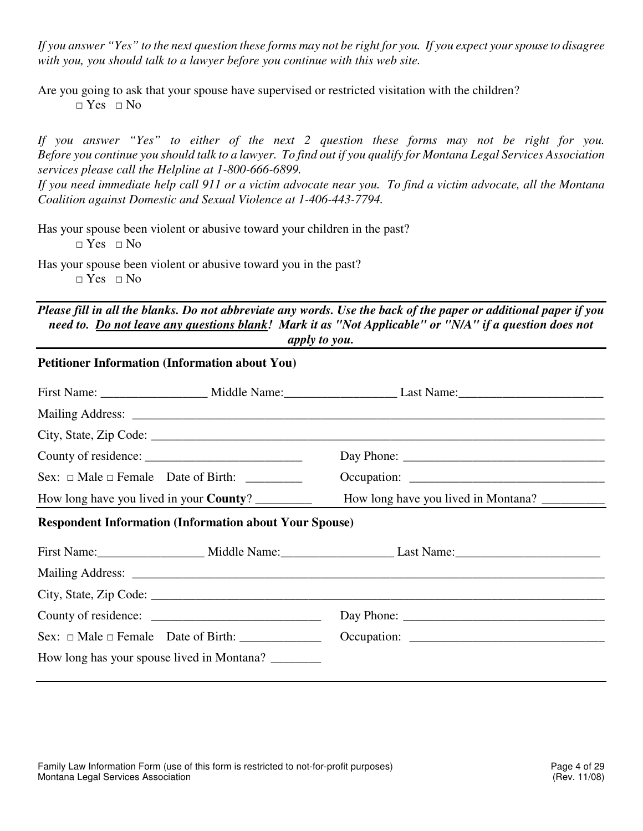*If you answer "Yes" to the next question these forms may not be right for you. If you expect your spouse to disagree with you, you should talk to a lawyer before you continue with this web site.* 

Are you going to ask that your spouse have supervised or restricted visitation with the children?  $\Box$  Yes  $\Box$  No

*If you answer "Yes" to either of the next 2 question these forms may not be right for you. Before you continue you should talk to a lawyer. To find out if you qualify for Montana Legal Services Association services please call the Helpline at 1-800-666-6899.* 

*If you need immediate help call 911 or a victim advocate near you. To find a victim advocate, all the Montana Coalition against Domestic and Sexual Violence at 1-406-443-7794.* 

Has your spouse been violent or abusive toward your children in the past?  $\Box$  Yes  $\Box$  No

Has your spouse been violent or abusive toward you in the past?  $\Box$  Yes  $\Box$  No

*Please fill in all the blanks. Do not abbreviate any words. Use the back of the paper or additional paper if you need to. Do not leave any questions blank! Mark it as "Not Applicable" or "N/A" if a question does not apply to you.* 

| How long have you lived in Montana? __________                                                                                                                                                                                 |  |
|--------------------------------------------------------------------------------------------------------------------------------------------------------------------------------------------------------------------------------|--|
|                                                                                                                                                                                                                                |  |
| First Name: Middle Name: Middle Name: Last Name: Manne: Manne: Middle Name: Middle Name: Middle Name: Middle Name: Middle Name: Middle Name: Middle Name: Middle Name: Middle Name: Middle Name: Middle Name: Middle Name: Mid |  |
|                                                                                                                                                                                                                                |  |
| City, State, Zip Code: $\sqrt{\frac{1}{2}$                                                                                                                                                                                     |  |
|                                                                                                                                                                                                                                |  |
|                                                                                                                                                                                                                                |  |
|                                                                                                                                                                                                                                |  |
| How long have you lived in your <b>County</b> ?<br><b>Respondent Information (Information about Your Spouse)</b>                                                                                                               |  |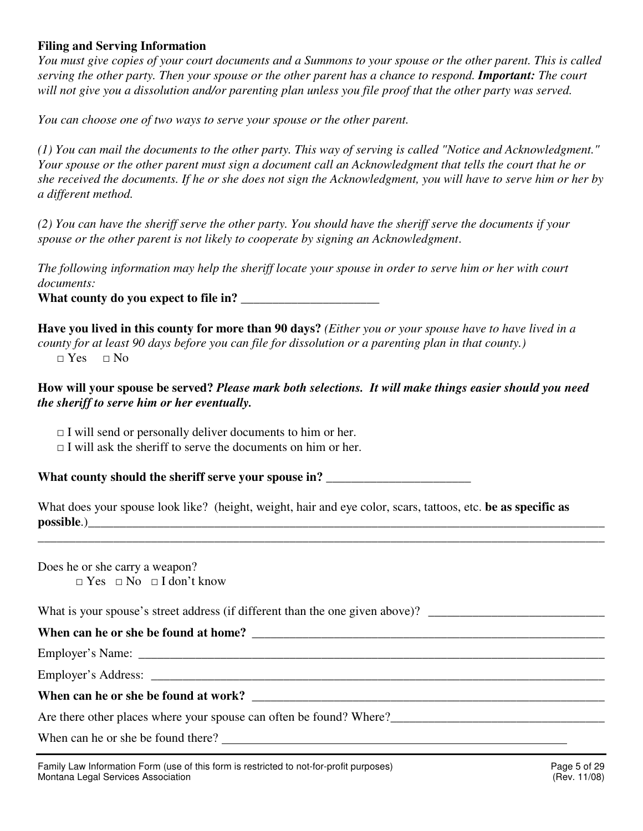# **Filing and Serving Information**

*You must give copies of your court documents and a Summons to your spouse or the other parent. This is called serving the other party. Then your spouse or the other parent has a chance to respond. Important: The court will not give you a dissolution and/or parenting plan unless you file proof that the other party was served.* 

*You can choose one of two ways to serve your spouse or the other parent.* 

*(1) You can mail the documents to the other party. This way of serving is called "Notice and Acknowledgment." Your spouse or the other parent must sign a document call an Acknowledgment that tells the court that he or she received the documents. If he or she does not sign the Acknowledgment, you will have to serve him or her by a different method.* 

*(2) You can have the sheriff serve the other party. You should have the sheriff serve the documents if your spouse or the other parent is not likely to cooperate by signing an Acknowledgment*.

*The following information may help the sheriff locate your spouse in order to serve him or her with court documents:* 

What county do you expect to file in?

**Have you lived in this county for more than 90 days?** *(Either you or your spouse have to have lived in a county for at least 90 days before you can file for dissolution or a parenting plan in that county.)*   $\neg$  Yes  $\neg$  No

# **How will your spouse be served?** *Please mark both selections. It will make things easier should you need the sheriff to serve him or her eventually.*

 $\Box$  I will send or personally deliver documents to him or her.

 $\Box$  I will ask the sheriff to serve the documents on him or her.

What county should the sheriff serve your spouse in?

What does your spouse look like? (height, weight, hair and eye color, scars, tattoos, etc. **be as specific as possible**.)\_\_\_\_\_\_\_\_\_\_\_\_\_\_\_\_\_\_\_\_\_\_\_\_\_\_\_\_\_\_\_\_\_\_\_\_\_\_\_\_\_\_\_\_\_\_\_\_\_\_\_\_\_\_\_\_\_\_\_\_\_\_\_\_\_\_\_\_\_\_\_\_\_\_\_\_\_\_\_\_\_\_

\_\_\_\_\_\_\_\_\_\_\_\_\_\_\_\_\_\_\_\_\_\_\_\_\_\_\_\_\_\_\_\_\_\_\_\_\_\_\_\_\_\_\_\_\_\_\_\_\_\_\_\_\_\_\_\_\_\_\_\_\_\_\_\_\_\_\_\_\_\_\_\_\_\_\_\_\_\_\_\_\_\_\_\_\_\_\_\_\_\_

Does he or she carry a weapon?  $\Box$  Yes  $\Box$  No  $\Box$  I don't know

What is your spouse's street address (if different than the one given above)?

# **When can he or she be found at home? \_\_\_\_\_\_\_\_\_\_\_\_\_\_\_\_\_\_\_\_\_\_\_\_\_\_\_\_\_\_\_\_\_\_\_\_\_\_\_\_\_\_\_\_\_\_\_\_\_\_\_\_\_\_\_\_**

Employer's Name:

Employer's Address: \_\_\_\_\_\_\_\_\_\_\_\_\_\_\_\_\_\_\_\_\_\_\_\_\_\_\_\_\_\_\_\_\_\_\_\_\_\_\_\_\_\_\_\_\_\_\_\_\_\_\_\_\_\_\_\_\_\_\_\_\_\_\_\_\_\_\_\_\_\_\_\_

# **When can he or she be found at work? \_\_\_\_\_\_\_\_\_\_\_\_\_\_\_\_\_\_\_\_\_\_\_\_\_\_\_\_\_\_\_\_\_\_\_\_\_\_\_\_\_\_\_\_\_\_\_\_\_\_\_\_\_\_\_\_**

Are there other places where your spouse can often be found? Where?

When can he or she be found there?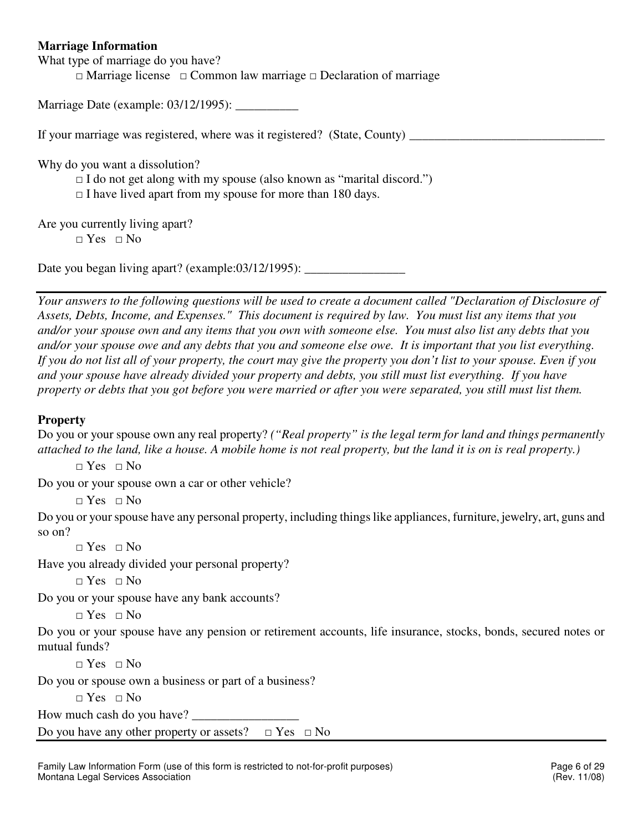# **Marriage Information**

What type of marriage do you have?

□ Marriage license □ Common law marriage □ Declaration of marriage

Marriage Date (example: 03/12/1995): \_\_\_\_\_\_\_\_\_\_

If your marriage was registered, where was it registered? (State, County)

Why do you want a dissolution?

 $\Box$  I do not get along with my spouse (also known as "marital discord.")

 $\Box$  I have lived apart from my spouse for more than 180 days.

Are you currently living apart?

 $\neg$  Yes  $\neg$  No

Date you began living apart? (example: $03/12/1995$ ):

*Your answers to the following questions will be used to create a document called "Declaration of Disclosure of Assets, Debts, Income, and Expenses." This document is required by law. You must list any items that you and/or your spouse own and any items that you own with someone else. You must also list any debts that you and/or your spouse owe and any debts that you and someone else owe. It is important that you list everything. If you do not list all of your property, the court may give the property you don't list to your spouse. Even if you and your spouse have already divided your property and debts, you still must list everything. If you have property or debts that you got before you were married or after you were separated, you still must list them.*

# **Property**

Do you or your spouse own any real property? *("Real property" is the legal term for land and things permanently attached to the land, like a house. A mobile home is not real property, but the land it is on is real property.)*

 $\Box$  Yes  $\Box$  No

Do you or your spouse own a car or other vehicle?

□ Yes □ No

Do you or your spouse have any personal property, including things like appliances, furniture, jewelry, art, guns and so on?

□ Yes □ No

Have you already divided your personal property?

 $\neg$  Yes  $\neg$  No

Do you or your spouse have any bank accounts?

□ Yes □ No

Do you or your spouse have any pension or retirement accounts, life insurance, stocks, bonds, secured notes or mutual funds?

 $\Box$  Yes  $\Box$  No

Do you or spouse own a business or part of a business?

 $\Box$  Yes  $\Box$  No

How much cash do you have?

Do you have any other property or assets?  $\Box$  Yes  $\Box$  No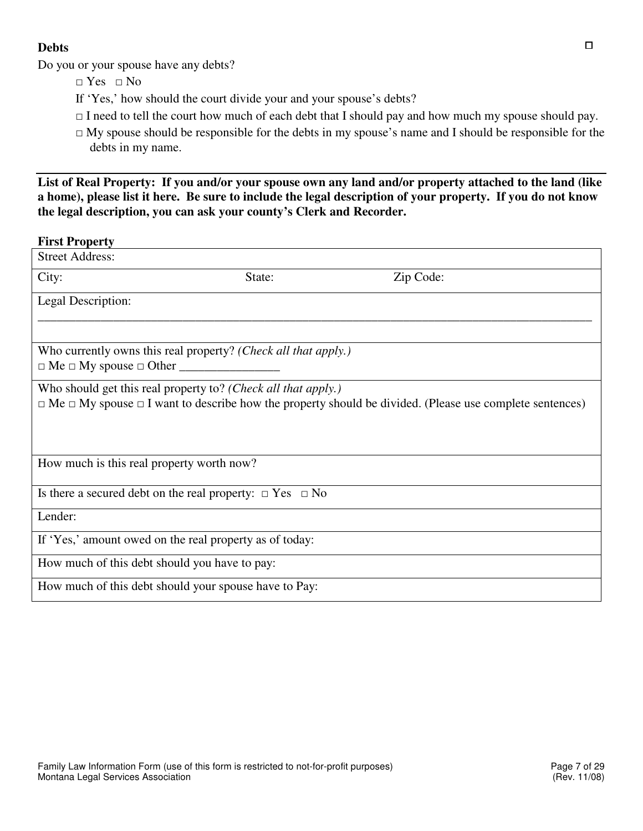# **Debts**

Do you or your spouse have any debts?

- □ Yes □ No
- If 'Yes,' how should the court divide your and your spouse's debts?
- $\Box$  I need to tell the court how much of each debt that I should pay and how much my spouse should pay.
- $\Box$  My spouse should be responsible for the debts in my spouse's name and I should be responsible for the debts in my name.

**List of Real Property: If you and/or your spouse own any land and/or property attached to the land (like a home), please list it here. Be sure to include the legal description of your property. If you do not know the legal description, you can ask your county's Clerk and Recorder.** 

# **First Property**

| <b>Street Address:</b>                                             |        |                                                                                                                          |
|--------------------------------------------------------------------|--------|--------------------------------------------------------------------------------------------------------------------------|
| City:                                                              | State: | Zip Code:                                                                                                                |
| Legal Description:                                                 |        |                                                                                                                          |
| Who currently owns this real property? (Check all that apply.)     |        |                                                                                                                          |
| Who should get this real property to? (Check all that apply.)      |        | $\Box$ Me $\Box$ My spouse $\Box$ I want to describe how the property should be divided. (Please use complete sentences) |
| How much is this real property worth now?                          |        |                                                                                                                          |
| Is there a secured debt on the real property: $\Box$ Yes $\Box$ No |        |                                                                                                                          |
| Lender:                                                            |        |                                                                                                                          |
| If 'Yes,' amount owed on the real property as of today:            |        |                                                                                                                          |
| How much of this debt should you have to pay:                      |        |                                                                                                                          |
| How much of this debt should your spouse have to Pay:              |        |                                                                                                                          |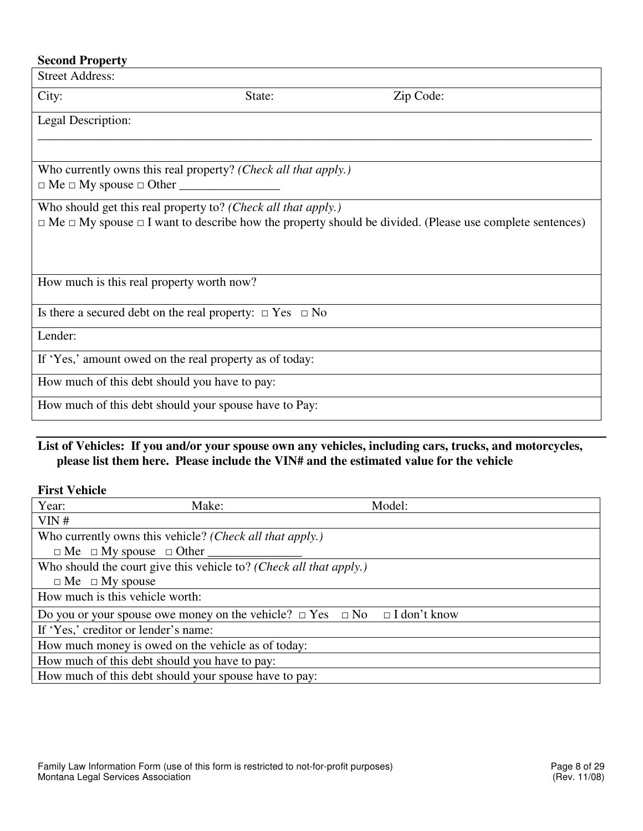| <b>Second Property</b>                                             |        |                                                                                                                          |  |
|--------------------------------------------------------------------|--------|--------------------------------------------------------------------------------------------------------------------------|--|
| <b>Street Address:</b>                                             |        |                                                                                                                          |  |
| City:                                                              | State: | Zip Code:                                                                                                                |  |
| Legal Description:                                                 |        |                                                                                                                          |  |
| Who currently owns this real property? (Check all that apply.)     |        |                                                                                                                          |  |
| Who should get this real property to? (Check all that apply.)      |        | $\Box$ Me $\Box$ My spouse $\Box$ I want to describe how the property should be divided. (Please use complete sentences) |  |
| How much is this real property worth now?                          |        |                                                                                                                          |  |
| Is there a secured debt on the real property: $\Box$ Yes $\Box$ No |        |                                                                                                                          |  |
| Lender:                                                            |        |                                                                                                                          |  |
| If 'Yes,' amount owed on the real property as of today:            |        |                                                                                                                          |  |
| How much of this debt should you have to pay:                      |        |                                                                                                                          |  |
| How much of this debt should your spouse have to Pay:              |        |                                                                                                                          |  |
|                                                                    |        |                                                                                                                          |  |

# **List of Vehicles: If you and/or your spouse own any vehicles, including cars, trucks, and motorcycles, please list them here. Please include the VIN# and the estimated value for the vehicle**

**First Vehicle** 

| Year:<br>Make:                                                                           | Model: |
|------------------------------------------------------------------------------------------|--------|
| VIN#                                                                                     |        |
| Who currently owns this vehicle? (Check all that apply.)                                 |        |
| $\Box$ Me $\Box$ My spouse $\Box$ Other ______                                           |        |
| Who should the court give this vehicle to? (Check all that apply.)                       |        |
| $\Box$ Me $\Box$ My spouse                                                               |        |
| How much is this vehicle worth:                                                          |        |
| Do you or your spouse owe money on the vehicle? $\Box$ Yes $\Box$ No $\Box$ I don't know |        |
| If 'Yes,' creditor or lender's name:                                                     |        |
| How much money is owed on the vehicle as of today:                                       |        |
| How much of this debt should you have to pay:                                            |        |
| How much of this debt should your spouse have to pay:                                    |        |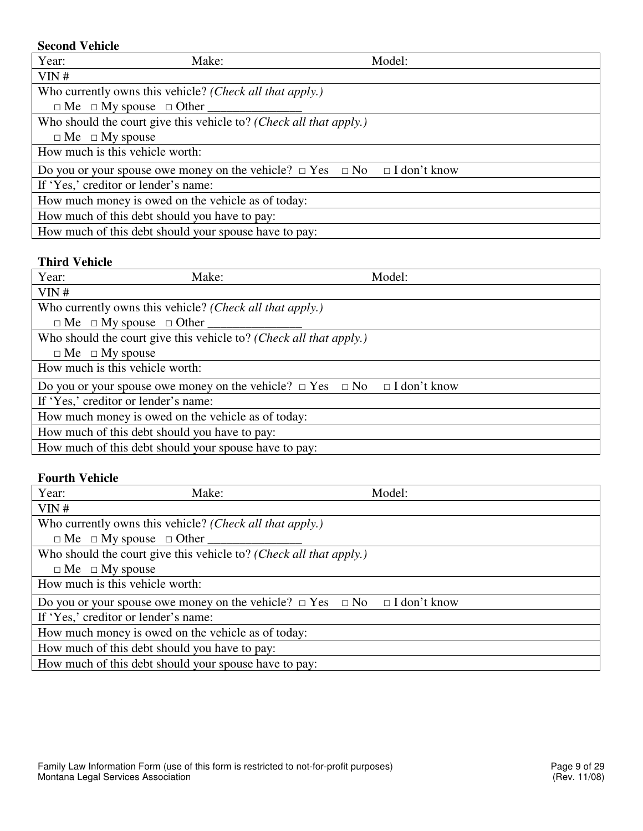# **Second Vehicle**

| Year:                      | Make:                                                                                    | Model: |  |
|----------------------------|------------------------------------------------------------------------------------------|--------|--|
| VIN#                       |                                                                                          |        |  |
|                            | Who currently owns this vehicle? (Check all that apply.)                                 |        |  |
|                            | $\Box$ Me $\Box$ My spouse $\Box$ Other                                                  |        |  |
|                            | Who should the court give this vehicle to? (Check all that apply.)                       |        |  |
| $\Box$ Me $\Box$ My spouse |                                                                                          |        |  |
|                            | How much is this vehicle worth:                                                          |        |  |
|                            | Do you or your spouse owe money on the vehicle? $\Box$ Yes $\Box$ No $\Box$ I don't know |        |  |
|                            | If 'Yes,' creditor or lender's name:                                                     |        |  |
|                            | How much money is owed on the vehicle as of today:                                       |        |  |
|                            | How much of this debt should you have to pay:                                            |        |  |
|                            | How much of this debt should your spouse have to pay:                                    |        |  |

# **Third Vehicle**

| Year:                      | Make:                                                                                    | Model: |  |
|----------------------------|------------------------------------------------------------------------------------------|--------|--|
| VIN#                       |                                                                                          |        |  |
|                            | Who currently owns this vehicle? (Check all that apply.)                                 |        |  |
|                            | $\Box$ Me $\Box$ My spouse $\Box$ Other ______                                           |        |  |
|                            | Who should the court give this vehicle to? (Check all that apply.)                       |        |  |
| $\Box$ Me $\Box$ My spouse |                                                                                          |        |  |
|                            | How much is this vehicle worth:                                                          |        |  |
|                            | Do you or your spouse owe money on the vehicle? $\Box$ Yes $\Box$ No $\Box$ I don't know |        |  |
|                            | If 'Yes,' creditor or lender's name:                                                     |        |  |
|                            | How much money is owed on the vehicle as of today:                                       |        |  |
|                            | How much of this debt should you have to pay:                                            |        |  |
|                            | How much of this debt should your spouse have to pay:                                    |        |  |

# **Fourth Vehicle**

| Year:                      | Make:                                                                                    | Model: |
|----------------------------|------------------------------------------------------------------------------------------|--------|
| VIN#                       |                                                                                          |        |
|                            | Who currently owns this vehicle? (Check all that apply.)                                 |        |
|                            | $\Box$ Me $\Box$ My spouse $\Box$ Other                                                  |        |
|                            | Who should the court give this vehicle to? (Check all that apply.)                       |        |
| $\Box$ Me $\Box$ My spouse |                                                                                          |        |
|                            | How much is this vehicle worth:                                                          |        |
|                            | Do you or your spouse owe money on the vehicle? $\Box$ Yes $\Box$ No $\Box$ I don't know |        |
|                            | If 'Yes,' creditor or lender's name:                                                     |        |
|                            | How much money is owed on the vehicle as of today:                                       |        |
|                            | How much of this debt should you have to pay:                                            |        |
|                            | How much of this debt should your spouse have to pay:                                    |        |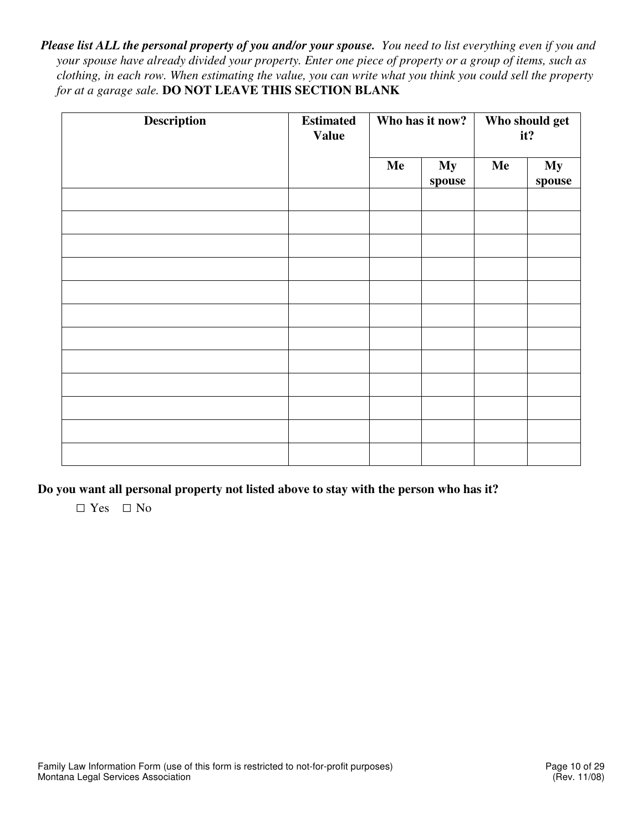*Please list ALL the personal property of you and/or your spouse. You need to list everything even if you and your spouse have already divided your property. Enter one piece of property or a group of items, such as clothing, in each row. When estimating the value, you can write what you think you could sell the property for at a garage sale.* **DO NOT LEAVE THIS SECTION BLANK** 

| Description | <b>Estimated</b><br><b>Value</b> | Who has it now? |                     | Who should get<br>it? |              |
|-------------|----------------------------------|-----------------|---------------------|-----------------------|--------------|
|             |                                  | Me              | <b>My</b><br>spouse | Me                    | My<br>spouse |
|             |                                  |                 |                     |                       |              |
|             |                                  |                 |                     |                       |              |
|             |                                  |                 |                     |                       |              |
|             |                                  |                 |                     |                       |              |
|             |                                  |                 |                     |                       |              |
|             |                                  |                 |                     |                       |              |
|             |                                  |                 |                     |                       |              |
|             |                                  |                 |                     |                       |              |
|             |                                  |                 |                     |                       |              |
|             |                                  |                 |                     |                       |              |
|             |                                  |                 |                     |                       |              |
|             |                                  |                 |                     |                       |              |

**Do you want all personal property not listed above to stay with the person who has it?** 

□ Yes□ No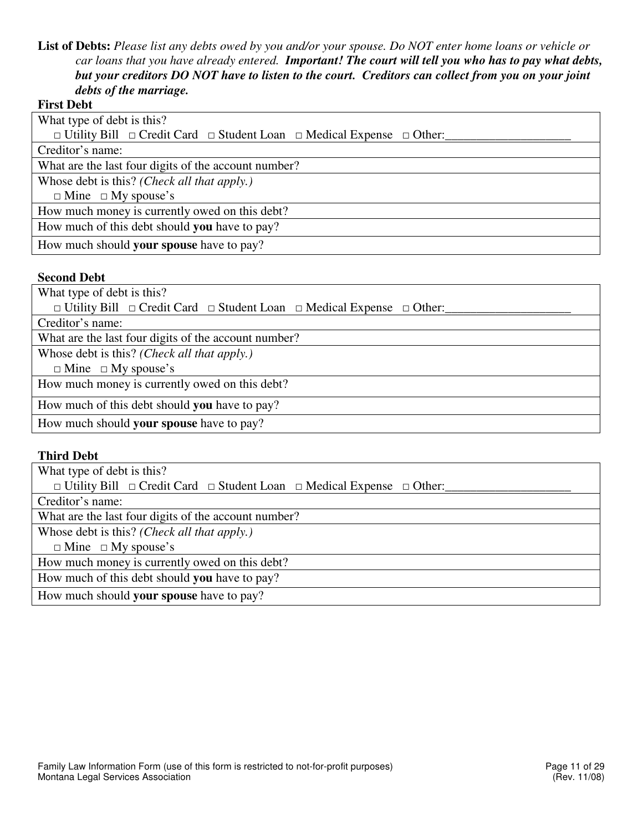**List of Debts:** *Please list any debts owed by you and/or your spouse. Do NOT enter home loans or vehicle or car loans that you have already entered. Important! The court will tell you who has to pay what debts, but your creditors DO NOT have to listen to the court. Creditors can collect from you on your joint debts of the marriage.*

#### **First Debt**

| What type of debt is this?                                                                      |
|-------------------------------------------------------------------------------------------------|
| $\Box$ Utility Bill $\Box$ Credit Card $\Box$ Student Loan $\Box$ Medical Expense $\Box$ Other: |
| Creditor's name:                                                                                |
| What are the last four digits of the account number?                                            |
| Whose debt is this? (Check all that apply.)                                                     |
| $\Box$ Mine $\Box$ My spouse's                                                                  |
| How much money is currently owed on this debt?                                                  |
| How much of this debt should you have to pay?                                                   |
| How much should your spouse have to pay?                                                        |
|                                                                                                 |

#### **Second Debt**

What type of debt is this?

□ Utility Bill □ Credit Card □ Student Loan □ Medical Expense □ Other:

Creditor's name:

What are the last four digits of the account number?

Whose debt is this? *(Check all that apply.)*

 $\Box$  Mine  $\Box$  My spouse's

How much money is currently owed on this debt?

How much of this debt should **you** have to pay?

How much should **your spouse** have to pay?

#### **Third Debt**

What type of debt is this?

□ Utility Bill □ Credit Card □ Student Loan □ Medical Expense □ Other:

Creditor's name:

What are the last four digits of the account number?

Whose debt is this? *(Check all that apply.)*

 $\Box$  Mine  $\Box$  My spouse's

How much money is currently owed on this debt?

How much of this debt should **you** have to pay?

How much should **your spouse** have to pay?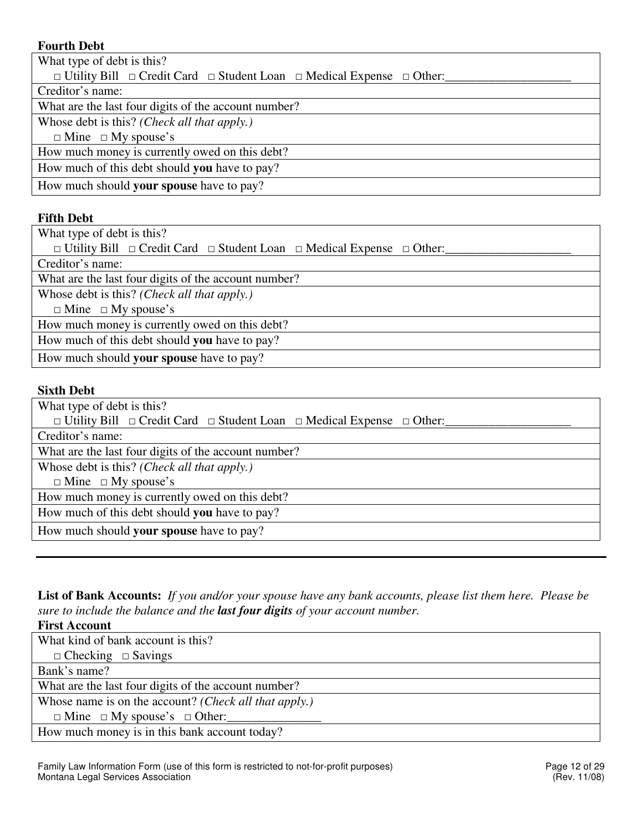# **Fourth Debt**

| What type of debt is this?                                                                      |
|-------------------------------------------------------------------------------------------------|
| $\Box$ Utility Bill $\Box$ Credit Card $\Box$ Student Loan $\Box$ Medical Expense $\Box$ Other: |
| Creditor's name:                                                                                |
| What are the last four digits of the account number?                                            |
| Whose debt is this? (Check all that apply.)                                                     |
| $\Box$ Mine $\Box$ My spouse's                                                                  |
| How much money is currently owed on this debt?                                                  |
| How much of this debt should you have to pay?                                                   |
| How much should <b>your spouse</b> have to pay?                                                 |

# **Fifth Debt**

What type of debt is this?

□ Utility Bill □ Credit Card □ Student Loan □ Medical Expense □ Other:

Creditor's name:

What are the last four digits of the account number?

Whose debt is this? *(Check all that apply.)*

 $\Box$  Mine  $\Box$  My spouse's

How much money is currently owed on this debt?

How much of this debt should **you** have to pay?

How much should **your spouse** have to pay?

#### **Sixth Debt**

What type of debt is this? □ Utility Bill □ Credit Card □ Student Loan □ Medical Expense □ Other: Creditor's name: What are the last four digits of the account number? Whose debt is this? *(Check all that apply.)*  $\Box$  Mine  $\Box$  My spouse's How much money is currently owed on this debt? How much of this debt should **you** have to pay? How much should **your spouse** have to pay?

**List of Bank Accounts:** *If you and/or your spouse have any bank accounts, please list them here. Please be sure to include the balance and the last four digits of your account number.* 

**First Account** What kind of bank account is this?  $\Box$  Checking  $\Box$  Savings Bank's name? What are the last four digits of the account number? Whose name is on the account? *(Check all that apply.)*  $\Box$  Mine  $\Box$  My spouse's  $\Box$  Other: How much money is in this bank account today?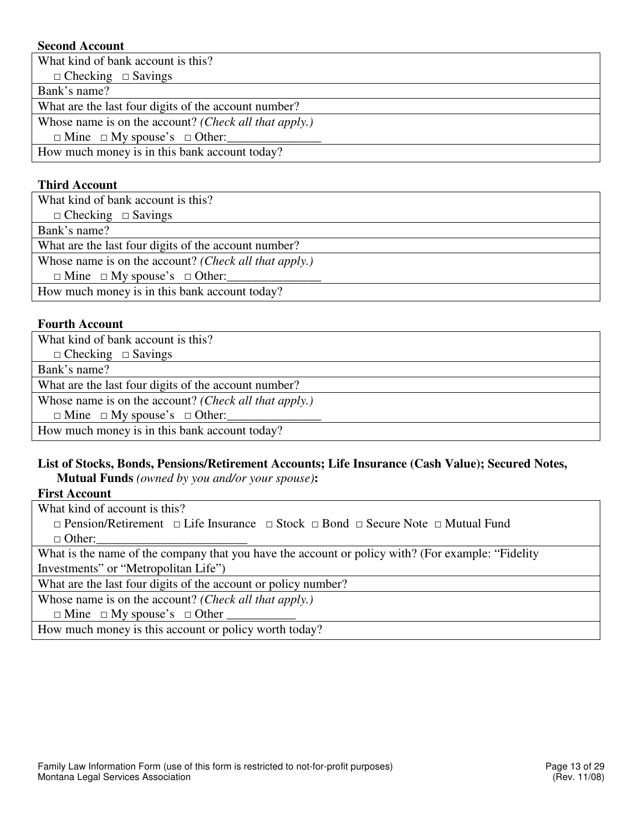# **Second Account**

What kind of bank account is this?

 $\Box$  Checking  $\Box$  Savings

Bank's name?

What are the last four digits of the account number?

Whose name is on the account? *(Check all that apply.)*

 $\Box$  Mine  $\Box$  My spouse's  $\Box$  Other:

How much money is in this bank account today?

### **Third Account**

What kind of bank account is this?  $\Box$  Checking  $\Box$  Savings Bank's name? What are the last four digits of the account number? Whose name is on the account? *(Check all that apply.)*  $\Box$  Mine  $\Box$  My spouse's  $\Box$  Other: How much money is in this bank account today?

# **Fourth Account**

What kind of bank account is this?  $\Box$  Checking  $\Box$  Savings Bank's name? What are the last four digits of the account number? Whose name is on the account? *(Check all that apply.)*  $\Box$  Mine  $\Box$  My spouse's  $\Box$  Other: How much money is in this bank account today?

# **List of Stocks, Bonds, Pensions/Retirement Accounts; Life Insurance (Cash Value); Secured Notes,**

**Mutual Funds** *(owned by you and/or your spouse)***:** 

# **First Account**

What kind of account is this?

 $\Box$  Pension/Retirement  $\Box$  Life Insurance  $\Box$  Stock  $\Box$  Bond  $\Box$  Secure Note  $\Box$  Mutual Fund  $\Box$  Other:

What is the name of the company that you have the account or policy with? (For example: "Fidelity Investments" or "Metropolitan Life")

What are the last four digits of the account or policy number?

Whose name is on the account? *(Check all that apply.)*

 $\Box$  Mine  $\Box$  My spouse's  $\Box$  Other

How much money is this account or policy worth today?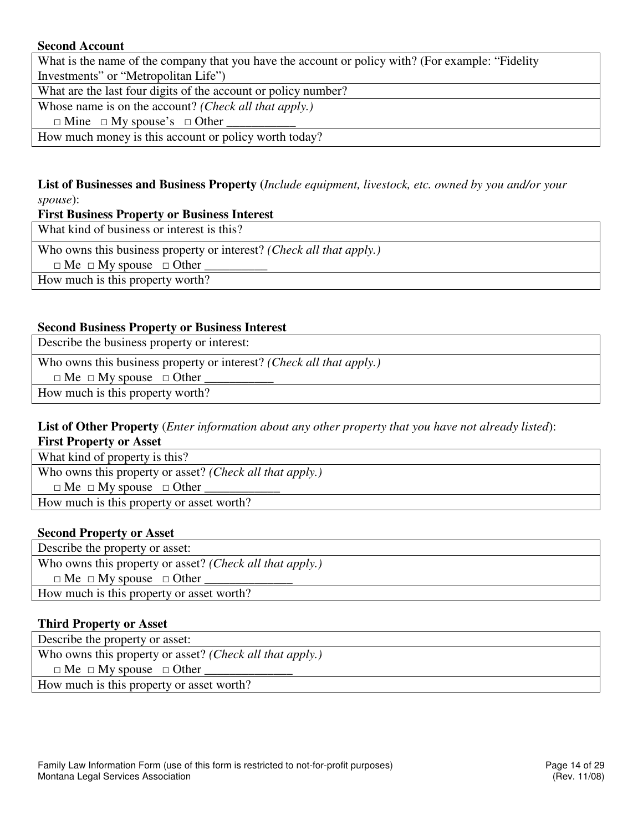# **Second Account**

What is the name of the company that you have the account or policy with? (For example: "Fidelity Investments" or "Metropolitan Life")

What are the last four digits of the account or policy number?

Whose name is on the account? *(Check all that apply.)*

 $\Box$  Mine  $\Box$  My spouse's  $\Box$  Other

How much money is this account or policy worth today?

# **List of Businesses and Business Property (***Include equipment, livestock, etc. owned by you and/or your spouse*):

#### **First Business Property or Business Interest**

What kind of business or interest is this?

Who owns this business property or interest? *(Check all that apply.)*

 $\Box$  Me  $\Box$  My spouse  $\Box$  Other

How much is this property worth?

#### **Second Business Property or Business Interest**

Describe the business property or interest:

Who owns this business property or interest? *(Check all that apply.)*

 $\Box$  Me  $\Box$  My spouse  $\Box$  Other

How much is this property worth?

# **List of Other Property** (*Enter information about any other property that you have not already listed*):

**First Property or Asset** 

What kind of property is this?

Who owns this property or asset? *(Check all that apply.)*

 $\Box$  Me  $\Box$  My spouse  $\Box$  Other

How much is this property or asset worth?

#### **Second Property or Asset**

Describe the property or asset: Who owns this property or asset? *(Check all that apply.)*  $\Box$  Me  $\Box$  My spouse  $\Box$  Other How much is this property or asset worth?

#### **Third Property or Asset**

Describe the property or asset: Who owns this property or asset? *(Check all that apply.)*  $\Box$  Me  $\Box$  My spouse  $\Box$  Other

How much is this property or asset worth?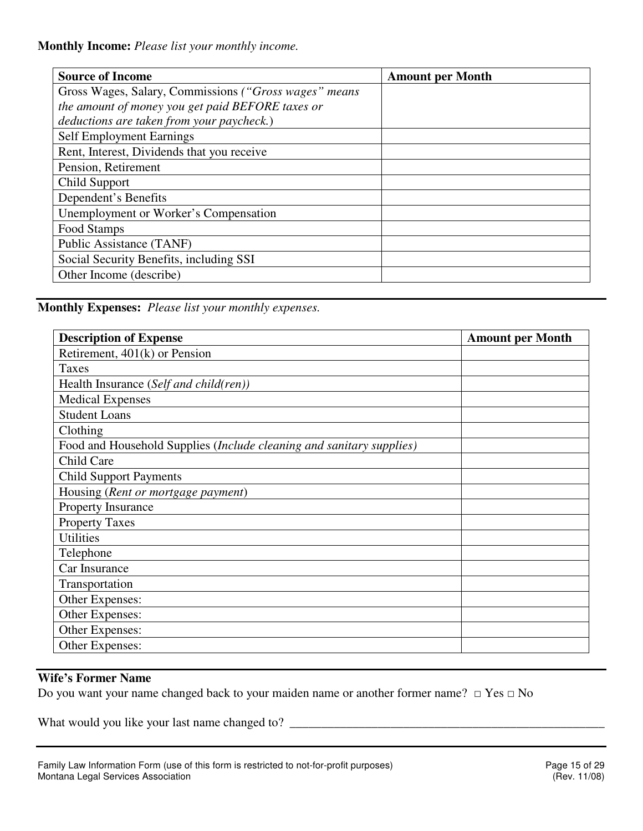**Monthly Income:** *Please list your monthly income.*

| <b>Source of Income</b>                               | <b>Amount per Month</b> |
|-------------------------------------------------------|-------------------------|
| Gross Wages, Salary, Commissions ("Gross wages" means |                         |
| the amount of money you get paid BEFORE taxes or      |                         |
| deductions are taken from your paycheck.)             |                         |
| Self Employment Earnings                              |                         |
| Rent, Interest, Dividends that you receive            |                         |
| Pension, Retirement                                   |                         |
| Child Support                                         |                         |
| Dependent's Benefits                                  |                         |
| Unemployment or Worker's Compensation                 |                         |
| Food Stamps                                           |                         |
| Public Assistance (TANF)                              |                         |
| Social Security Benefits, including SSI               |                         |
| Other Income (describe)                               |                         |

**Monthly Expenses:** *Please list your monthly expenses.*

| <b>Description of Expense</b>                                        | <b>Amount per Month</b> |
|----------------------------------------------------------------------|-------------------------|
| Retirement, $401(k)$ or Pension                                      |                         |
| Taxes                                                                |                         |
| Health Insurance (Self and child(ren))                               |                         |
| <b>Medical Expenses</b>                                              |                         |
| <b>Student Loans</b>                                                 |                         |
| Clothing                                                             |                         |
| Food and Household Supplies (Include cleaning and sanitary supplies) |                         |
| Child Care                                                           |                         |
| <b>Child Support Payments</b>                                        |                         |
| Housing (Rent or mortgage payment)                                   |                         |
| Property Insurance                                                   |                         |
| <b>Property Taxes</b>                                                |                         |
| <b>Utilities</b>                                                     |                         |
| Telephone                                                            |                         |
| Car Insurance                                                        |                         |
| Transportation                                                       |                         |
| Other Expenses:                                                      |                         |
| Other Expenses:                                                      |                         |
| Other Expenses:                                                      |                         |
| Other Expenses:                                                      |                         |

# **Wife's Former Name**

Do you want your name changed back to your maiden name or another former name? □ Yes □ No

What would you like your last name changed to? \_\_\_\_\_\_\_\_\_\_\_\_\_\_\_\_\_\_\_\_\_\_\_\_\_\_\_\_\_\_\_\_\_\_\_\_\_\_\_\_\_\_\_\_\_\_\_\_\_\_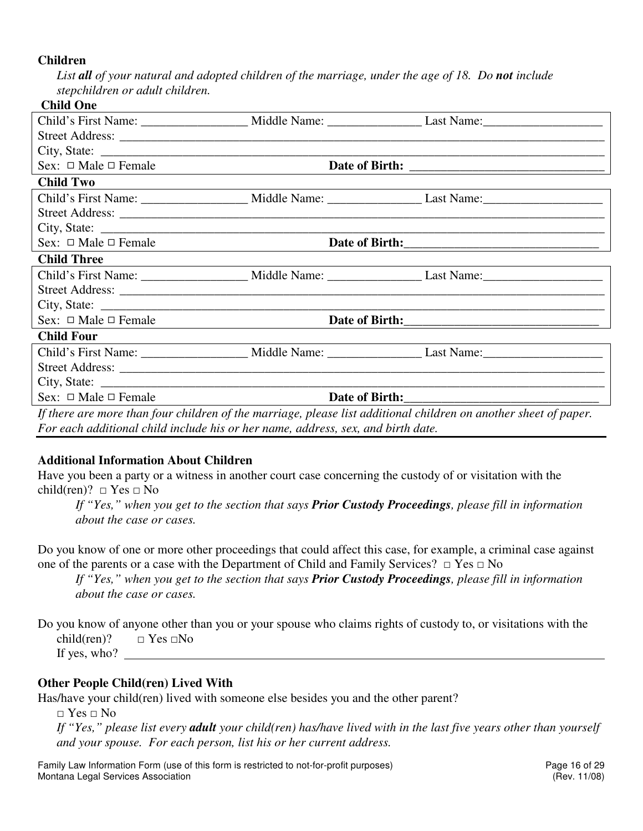#### **Children**

List **all** of your natural and adopted children of the marriage, under the age of 18. Do **not** include *stepchildren or adult children.* 

### **Child One**

| Sex: $\Box$ Male $\Box$ Female                                                                                   |                                                                                                                |
|------------------------------------------------------------------------------------------------------------------|----------------------------------------------------------------------------------------------------------------|
| <b>Child Two</b>                                                                                                 |                                                                                                                |
|                                                                                                                  |                                                                                                                |
|                                                                                                                  |                                                                                                                |
|                                                                                                                  |                                                                                                                |
| Sex: $\Box$ Male $\Box$ Female                                                                                   | Date of Birth:                                                                                                 |
| <b>Child Three</b>                                                                                               |                                                                                                                |
|                                                                                                                  | Child's First Name: _______________________ Middle Name: _______________________Last Name: ___________________ |
|                                                                                                                  |                                                                                                                |
|                                                                                                                  |                                                                                                                |
| Sex: $\Box$ Male $\Box$ Female                                                                                   |                                                                                                                |
| <b>Child Four</b>                                                                                                |                                                                                                                |
|                                                                                                                  | Child's First Name: _____________________ Middle Name: ________________________Last Name: ____________________ |
|                                                                                                                  |                                                                                                                |
|                                                                                                                  |                                                                                                                |
| Sex: $\Box$ Male $\Box$ Female                                                                                   |                                                                                                                |
| If there are more than four children of the marriage, please list additional children on another sheet of paper. |                                                                                                                |
| For each additional child include his or her name, address, sex, and birth date.                                 |                                                                                                                |

**Additional Information About Children** 

Have you been a party or a witness in another court case concerning the custody of or visitation with the child(ren)?  $\Box$  Yes  $\Box$  No

*If "Yes," when you get to the section that says Prior Custody Proceedings, please fill in information about the case or cases.* 

Do you know of one or more other proceedings that could affect this case, for example, a criminal case against one of the parents or a case with the Department of Child and Family Services?  $\Box$  Yes  $\Box$  No

*If "Yes," when you get to the section that says Prior Custody Proceedings, please fill in information about the case or cases.* 

Do you know of anyone other than you or your spouse who claims rights of custody to, or visitations with the child(ren)?  $\Box$  Yes  $\Box$ No

If yes, who?

# **Other People Child(ren) Lived With**

Has/have your child(ren) lived with someone else besides you and the other parent?

 $\Box$  Yes  $\Box$  No

*If "Yes," please list every adult your child(ren) has/have lived with in the last five years other than yourself and your spouse. For each person, list his or her current address.* 

Family Law Information Form (use of this form is restricted to not-for-profit purposes) Page 16 of 29 Montana Legal Services Association **Montana Legal Services** Association **Contact Contact Contact Contact Contact Contact Contact Contact Contact Contact Contact Contact Contact Contact Contact Contact Contact Contact Conta**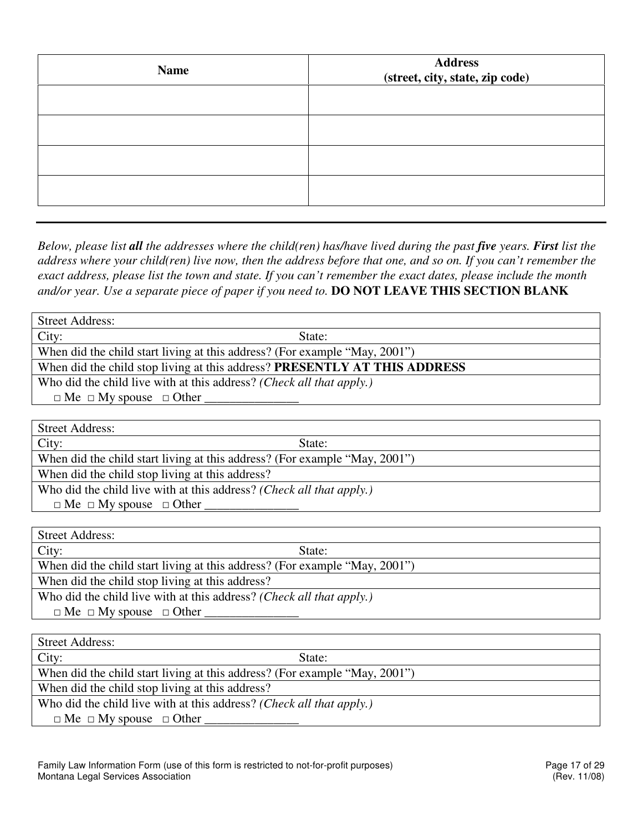| <b>Name</b> | Address<br>(street, city, state, zip code) |  |  |  |  |  |
|-------------|--------------------------------------------|--|--|--|--|--|
|             |                                            |  |  |  |  |  |
|             |                                            |  |  |  |  |  |
|             |                                            |  |  |  |  |  |
|             |                                            |  |  |  |  |  |

*Below, please list all the addresses where the child(ren) has/have lived during the past five years. First list the address where your child(ren) live now, then the address before that one, and so on. If you can't remember the exact address, please list the town and state. If you can't remember the exact dates, please include the month and/or year. Use a separate piece of paper if you need to.* **DO NOT LEAVE THIS SECTION BLANK**

| <b>Street Address:</b>                                                                                                                                                                                                                                                                                                                  |  |  |  |  |  |  |  |
|-----------------------------------------------------------------------------------------------------------------------------------------------------------------------------------------------------------------------------------------------------------------------------------------------------------------------------------------|--|--|--|--|--|--|--|
| City:<br>State:                                                                                                                                                                                                                                                                                                                         |  |  |  |  |  |  |  |
| When did the child start living at this address? (For example "May, 2001")                                                                                                                                                                                                                                                              |  |  |  |  |  |  |  |
| When did the child stop living at this address? PRESENTLY AT THIS ADDRESS                                                                                                                                                                                                                                                               |  |  |  |  |  |  |  |
| Who did the child live with at this address? (Check all that apply.)                                                                                                                                                                                                                                                                    |  |  |  |  |  |  |  |
| $\Box$ Me $\Box$ My spouse $\Box$ Other                                                                                                                                                                                                                                                                                                 |  |  |  |  |  |  |  |
|                                                                                                                                                                                                                                                                                                                                         |  |  |  |  |  |  |  |
| <b>Street Address:</b>                                                                                                                                                                                                                                                                                                                  |  |  |  |  |  |  |  |
| City:<br>State:                                                                                                                                                                                                                                                                                                                         |  |  |  |  |  |  |  |
| $\mathbf{a}$ , and a second contract the contract of the contract of the contract of the contract of the contract of the contract of the contract of the contract of the contract of the contract of the contract of the contract<br><b>XX71</b><br>$\sim$ $\sim$<br>$\bigcap_{n=1}^{\infty}$<br>$\mathbf{1}$ $\mathbf{1}$ $\mathbf{1}$ |  |  |  |  |  |  |  |

When did the child start living at this address? (For example "May, 2001")

When did the child stop living at this address?

Who did the child live with at this address? *(Check all that apply.)*

 $\Box$  Me  $\Box$  My spouse  $\Box$  Other

| <b>Street Address:</b>                                                        |  |
|-------------------------------------------------------------------------------|--|
| City:<br>State:                                                               |  |
| When did the child start living at this address? (For example "May, 2001")    |  |
| When did the child stop living at this address?                               |  |
| Who did the child live with at this address? ( <i>Check all that apply</i> .) |  |
| $\Box$ Me $\Box$ My spouse $\Box$ Other                                       |  |

| <b>Street Address:</b>                                                        |  |
|-------------------------------------------------------------------------------|--|
| City:<br>State:                                                               |  |
| When did the child start living at this address? (For example "May, 2001")    |  |
| When did the child stop living at this address?                               |  |
| Who did the child live with at this address? ( <i>Check all that apply</i> .) |  |
| $\Box$ Me $\Box$ My spouse $\Box$ Other                                       |  |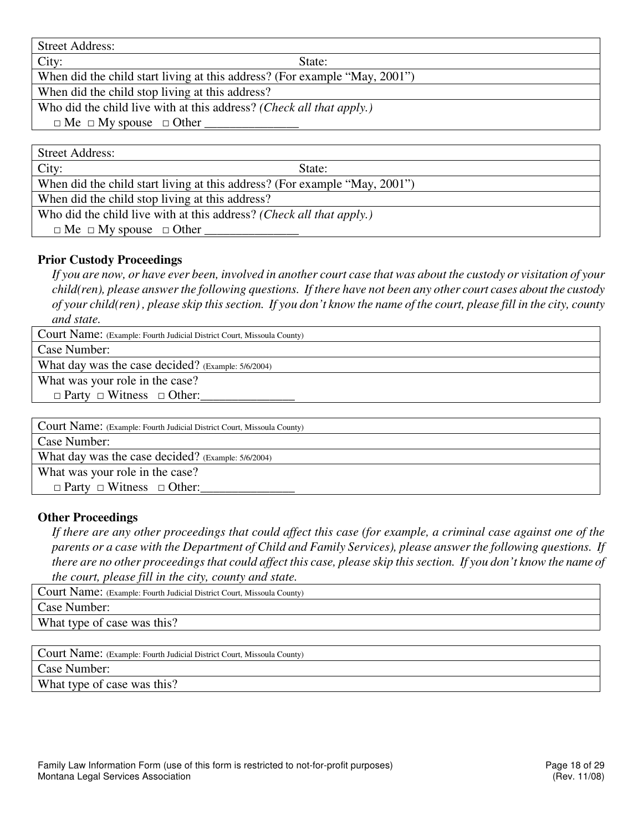Street Address:

City: State:

When did the child start living at this address? (For example "May, 2001")

When did the child stop living at this address?

Who did the child live with at this address? *(Check all that apply.)*

 $\Box$  Me  $\Box$  My spouse  $\Box$  Other

Street Address:

City: State:

When did the child start living at this address? (For example "May, 2001")

When did the child stop living at this address?

Who did the child live with at this address? *(Check all that apply.)*

 $\Box$  Me  $\Box$  My spouse  $\Box$  Other

# **Prior Custody Proceedings**

*If you are now, or have ever been, involved in another court case that was about the custody or visitation of your child(ren), please answer the following questions. If there have not been any other court cases about the custody of your child(ren) , please skip this section. If you don't know the name of the court, please fill in the city, county* 

*and state.* 

Court Name: (Example: Fourth Judicial District Court, Missoula County)

Case Number:

What day was the case decided? (Example: 5/6/2004)

What was your role in the case?

 $\Box$  Party  $\Box$  Witness  $\Box$  Other:

Court Name: (Example: Fourth Judicial District Court, Missoula County)

Case Number:

What day was the case decided? (Example: 5/6/2004)

What was your role in the case?

 $\Box$  Party  $\Box$  Witness  $\Box$  Other:

#### **Other Proceedings**

*If there are any other proceedings that could affect this case (for example, a criminal case against one of the parents or a case with the Department of Child and Family Services), please answer the following questions. If there are no other proceedings that could affect this case, please skip this section. If you don't know the name of the court, please fill in the city, county and state.* 

| Court Name: (Example: Fourth Judicial District Court, Missoula County) |  |  |  |  |
|------------------------------------------------------------------------|--|--|--|--|
| Case Number:                                                           |  |  |  |  |
| What type of case was this?                                            |  |  |  |  |
|                                                                        |  |  |  |  |

Court Name: (Example: Fourth Judicial District Court, Missoula County) Case Number: What type of case was this?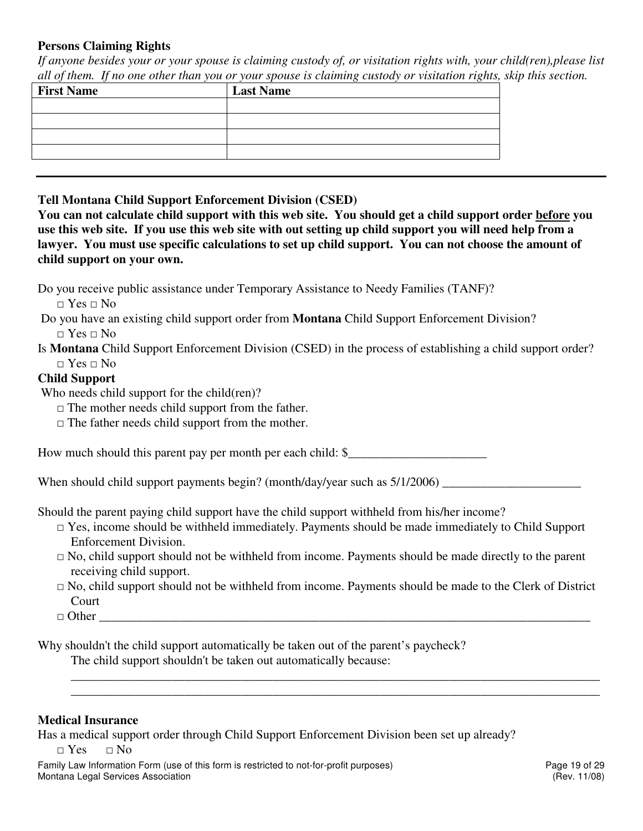# **Persons Claiming Rights**

*If anyone besides your or your spouse is claiming custody of, or visitation rights with, your child(ren),please list all of them. If no one other than you or your spouse is claiming custody or visitation rights, skip this section.* 

| <b>Last Name</b> |
|------------------|
|                  |
|                  |
|                  |
|                  |
|                  |

# **Tell Montana Child Support Enforcement Division (CSED)**

**You can not calculate child support with this web site. You should get a child support order before you use this web site. If you use this web site with out setting up child support you will need help from a lawyer. You must use specific calculations to set up child support. You can not choose the amount of child support on your own.** 

Do you receive public assistance under Temporary Assistance to Needy Families (TANF)?

 $\Box$  Yes  $\Box$  No

 Do you have an existing child support order from **Montana** Child Support Enforcement Division?  $\Box$  Yes  $\Box$  No

Is **Montana** Child Support Enforcement Division (CSED) in the process of establishing a child support order? □ Yes □ No

# **Child Support**

Who needs child support for the child(ren)?

- $\Box$  The mother needs child support from the father.
- $\Box$  The father needs child support from the mother.

How much should this parent pay per month per each child:  $\$$ 

When should child support payments begin? (month/day/year such as 5/1/2006) \_\_\_\_\_\_\_\_\_\_\_\_\_\_\_\_\_\_\_\_\_\_

Should the parent paying child support have the child support withheld from his/her income?

- $\Box$  Yes, income should be withheld immediately. Payments should be made immediately to Child Support Enforcement Division.
- $\Box$  No, child support should not be withheld from income. Payments should be made directly to the parent receiving child support.
- $\Box$  No, child support should not be withheld from income. Payments should be made to the Clerk of District Court

\_\_\_\_\_\_\_\_\_\_\_\_\_\_\_\_\_\_\_\_\_\_\_\_\_\_\_\_\_\_\_\_\_\_\_\_\_\_\_\_\_\_\_\_\_\_\_\_\_\_\_\_\_\_\_\_\_\_\_\_\_\_\_\_\_\_\_\_\_\_\_\_\_\_\_\_\_\_\_\_\_\_\_\_ \_\_\_\_\_\_\_\_\_\_\_\_\_\_\_\_\_\_\_\_\_\_\_\_\_\_\_\_\_\_\_\_\_\_\_\_\_\_\_\_\_\_\_\_\_\_\_\_\_\_\_\_\_\_\_\_\_\_\_\_\_\_\_\_\_\_\_\_\_\_\_\_\_\_\_\_\_\_\_\_\_\_\_\_

 $\Box$  Other

Why shouldn't the child support automatically be taken out of the parent's paycheck?

The child support shouldn't be taken out automatically because:

# **Medical Insurance**

Has a medical support order through Child Support Enforcement Division been set up already?

 $\Box$  Yes  $\Box$  No

Family Law Information Form (use of this form is restricted to not-for-profit purposes) Page 19 of 29 Montana Legal Services Association (Rev. 11/08)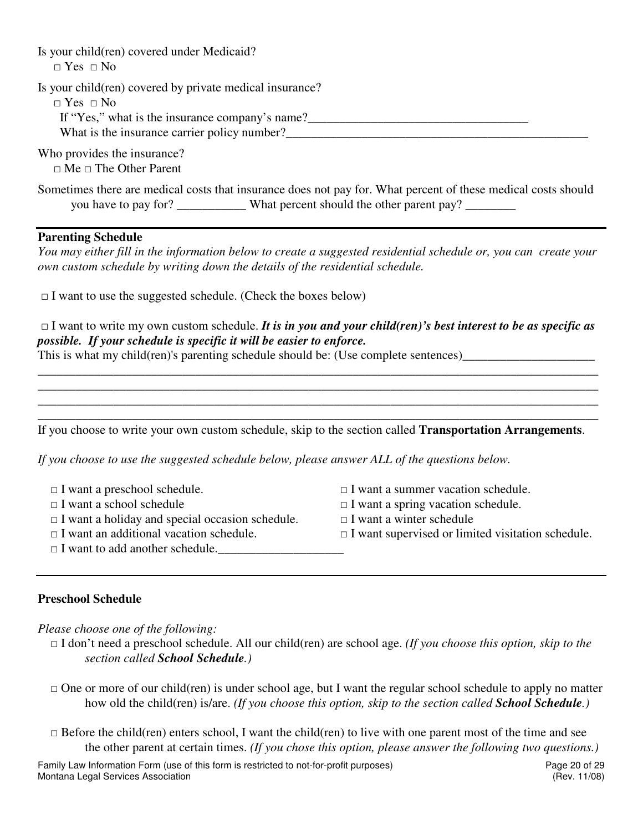| Is your child(ren) covered under Medicaid?<br>$\Box$ Yes $\Box$ No                                                                                                                                                                                                                                             |                                           |  |  |  |  |  |  |  |
|----------------------------------------------------------------------------------------------------------------------------------------------------------------------------------------------------------------------------------------------------------------------------------------------------------------|-------------------------------------------|--|--|--|--|--|--|--|
| Is your child(ren) covered by private medical insurance?<br>$\Box$ Yes $\Box$ No                                                                                                                                                                                                                               |                                           |  |  |  |  |  |  |  |
| Who provides the insurance?<br>$\Box$ Me $\Box$ The Other Parent                                                                                                                                                                                                                                               |                                           |  |  |  |  |  |  |  |
| Sometimes there are medical costs that insurance does not pay for. What percent of these medical costs should<br>you have to pay for? _____________ What percent should the other parent pay? ________                                                                                                         |                                           |  |  |  |  |  |  |  |
| <b>Parenting Schedule</b>                                                                                                                                                                                                                                                                                      |                                           |  |  |  |  |  |  |  |
| You may either fill in the information below to create a suggested residential schedule or, you can create your<br>own custom schedule by writing down the details of the residential schedule.                                                                                                                |                                           |  |  |  |  |  |  |  |
| $\Box$ I want to use the suggested schedule. (Check the boxes below)                                                                                                                                                                                                                                           |                                           |  |  |  |  |  |  |  |
| $\Box$ I want to write my own custom schedule. It is in you and your child(ren)'s best interest to be as specific as<br>possible. If your schedule is specific it will be easier to enforce.<br>This is what my child(ren)'s parenting schedule should be: (Use complete sentences)___________________________ |                                           |  |  |  |  |  |  |  |
|                                                                                                                                                                                                                                                                                                                |                                           |  |  |  |  |  |  |  |
| If you choose to write your own custom schedule, skip to the section called Transportation Arrangements.                                                                                                                                                                                                       |                                           |  |  |  |  |  |  |  |
| If you choose to use the suggested schedule below, please answer ALL of the questions below.                                                                                                                                                                                                                   |                                           |  |  |  |  |  |  |  |
| $\Box$ I want a preschool schedule.                                                                                                                                                                                                                                                                            | $\Box$ I want a summer vacation schedule. |  |  |  |  |  |  |  |
| $\Box$ I want a school schedule                                                                                                                                                                                                                                                                                | $\Box$ I want a spring vacation schedule. |  |  |  |  |  |  |  |
| $\Box$ I want a holiday and special occasion schedule.<br>$\Box$ I want a winter schedule                                                                                                                                                                                                                      |                                           |  |  |  |  |  |  |  |

- □ I want an additional vacation schedule. □ I want supervised or limited visitation schedule.
- $\Box$  I want to add another schedule.

# **Preschool Schedule**

*Please choose one of the following:* 

- □ I don't need a preschool schedule. All our child(ren) are school age. *(If you choose this option, skip to the section called School Schedule.)*
- $\Box$  One or more of our child(ren) is under school age, but I want the regular school schedule to apply no matter how old the child(ren) is/are. *(If you choose this option, skip to the section called School Schedule.)*
- $\Box$  Before the child(ren) enters school, I want the child(ren) to live with one parent most of the time and see the other parent at certain times. *(If you chose this option, please answer the following two questions.)*

Family Law Information Form (use of this form is restricted to not-for-profit purposes) Page 20 of 29<br>Montana Legal Services Association (Rev. 11/08) Montana Legal Services Association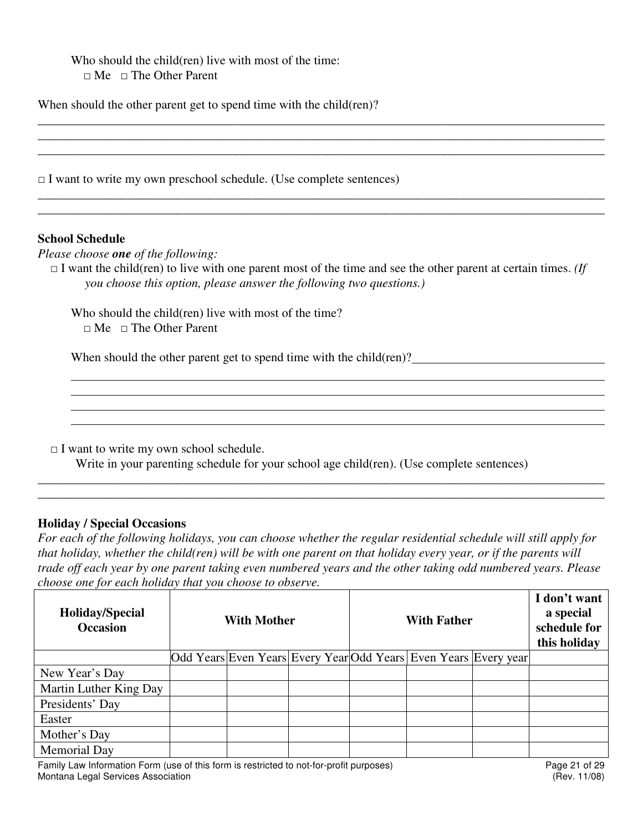Who should the child(ren) live with most of the time:  $\Box$  Me  $\Box$  The Other Parent

When should the other parent get to spend time with the child(ren)?

 $\Box$  I want to write my own preschool schedule. (Use complete sentences)

#### **School Schedule**

 $\overline{a}$  $\overline{a}$ 

*Please choose one of the following:* 

 $\Box$  I want the child(ren) to live with one parent most of the time and see the other parent at certain times. *(If you choose this option, please answer the following two questions.)* 

\_\_\_\_\_\_\_\_\_\_\_\_\_\_\_\_\_\_\_\_\_\_\_\_\_\_\_\_\_\_\_\_\_\_\_\_\_\_\_\_\_\_\_\_\_\_\_\_\_\_\_\_\_\_\_\_\_\_\_\_\_\_\_\_\_\_\_\_\_\_\_\_\_\_\_\_\_\_\_\_\_\_\_\_\_\_\_\_\_\_ \_\_\_\_\_\_\_\_\_\_\_\_\_\_\_\_\_\_\_\_\_\_\_\_\_\_\_\_\_\_\_\_\_\_\_\_\_\_\_\_\_\_\_\_\_\_\_\_\_\_\_\_\_\_\_\_\_\_\_\_\_\_\_\_\_\_\_\_\_\_\_\_\_\_\_\_\_\_\_\_\_\_\_\_\_\_\_\_\_\_ \_\_\_\_\_\_\_\_\_\_\_\_\_\_\_\_\_\_\_\_\_\_\_\_\_\_\_\_\_\_\_\_\_\_\_\_\_\_\_\_\_\_\_\_\_\_\_\_\_\_\_\_\_\_\_\_\_\_\_\_\_\_\_\_\_\_\_\_\_\_\_\_\_\_\_\_\_\_\_\_\_\_\_\_\_\_\_\_\_\_

*\_\_\_\_\_\_\_\_\_\_\_\_\_\_\_\_\_\_\_\_\_\_\_\_\_\_\_\_\_\_\_\_\_\_\_\_\_\_\_\_\_\_\_\_\_\_\_\_\_\_\_\_\_\_\_\_\_\_\_\_\_\_\_\_\_\_\_\_\_\_\_\_\_\_\_\_\_\_\_\_\_\_\_\_\_\_\_\_\_\_ \_\_\_\_\_\_\_\_\_\_\_\_\_\_\_\_\_\_\_\_\_\_\_\_\_\_\_\_\_\_\_\_\_\_\_\_\_\_\_\_\_\_\_\_\_\_\_\_\_\_\_\_\_\_\_\_\_\_\_\_\_\_\_\_\_\_\_\_\_\_\_\_\_\_\_\_\_\_\_\_\_\_\_\_\_\_\_\_\_\_*

Who should the child(ren) live with most of the time?  $\Box$  Me  $\Box$  The Other Parent

When should the other parent get to spend time with the child(ren)?

 $\Box$  I want to write my own school schedule.

Write in your parenting schedule for your school age child(ren). (Use complete sentences)

#### **Holiday / Special Occasions**

*For each of the following holidays, you can choose whether the regular residential schedule will still apply for that holiday, whether the child(ren) will be with one parent on that holiday every year, or if the parents will trade off each year by one parent taking even numbered years and the other taking odd numbered years. Please choose one for each holiday that you choose to observe.*

*\_\_\_\_\_\_\_\_\_\_\_\_\_\_\_\_\_\_\_\_\_\_\_\_\_\_\_\_\_\_\_\_\_\_\_\_\_\_\_\_\_\_\_\_\_\_\_\_\_\_\_\_\_\_\_\_\_\_\_\_\_\_\_\_\_\_\_\_\_\_\_\_\_\_\_\_\_\_\_\_\_\_\_\_\_\_\_\_\_\_ \_\_\_\_\_\_\_\_\_\_\_\_\_\_\_\_\_\_\_\_\_\_\_\_\_\_\_\_\_\_\_\_\_\_\_\_\_\_\_\_\_\_\_\_\_\_\_\_\_\_\_\_\_\_\_\_\_\_\_\_\_\_\_\_\_\_\_\_\_\_\_\_\_\_\_\_\_\_\_\_\_\_\_\_\_\_\_\_\_\_* 

| Holiday/Special<br><b>Occasion</b> | <b>With Mother</b> |  |  | <b>With Father</b> |  |                                                                 | I don't want<br>a special<br>schedule for<br>this holiday |  |
|------------------------------------|--------------------|--|--|--------------------|--|-----------------------------------------------------------------|-----------------------------------------------------------|--|
|                                    |                    |  |  |                    |  | Odd Years Even Years Every Year Odd Years Even Years Every year |                                                           |  |
| New Year's Day                     |                    |  |  |                    |  |                                                                 |                                                           |  |
| Martin Luther King Day             |                    |  |  |                    |  |                                                                 |                                                           |  |
| Presidents' Day                    |                    |  |  |                    |  |                                                                 |                                                           |  |
| Easter                             |                    |  |  |                    |  |                                                                 |                                                           |  |
| Mother's Day                       |                    |  |  |                    |  |                                                                 |                                                           |  |
| <b>Memorial Day</b>                |                    |  |  |                    |  |                                                                 |                                                           |  |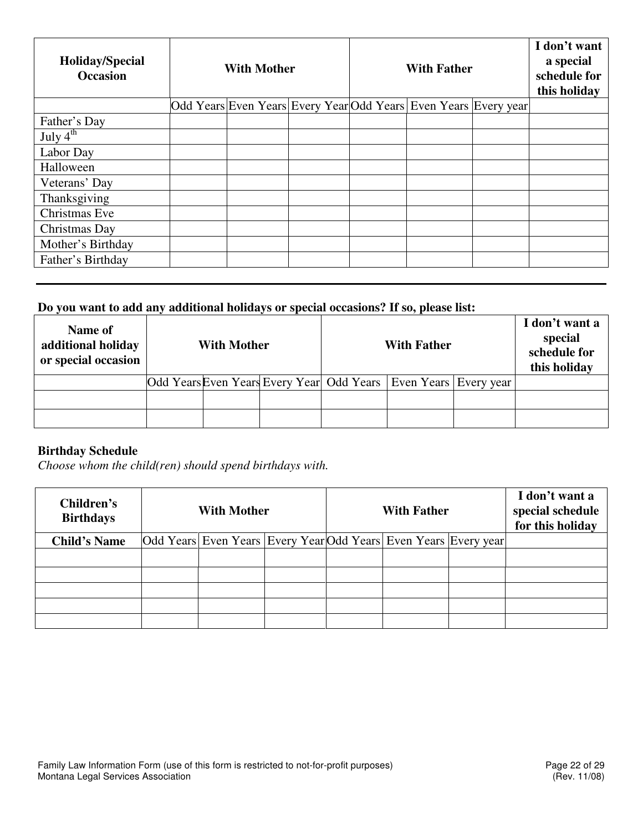| <b>Holiday/Special</b><br><b>Occasion</b> | <b>With Mother</b> |  |  | <b>With Father</b> | I don't want<br>a special<br>schedule for<br>this holiday       |  |  |
|-------------------------------------------|--------------------|--|--|--------------------|-----------------------------------------------------------------|--|--|
|                                           |                    |  |  |                    | Odd Years Even Years Every Year Odd Years Even Years Every year |  |  |
| Father's Day                              |                    |  |  |                    |                                                                 |  |  |
| July $4^{\overline{\text{th}}}$           |                    |  |  |                    |                                                                 |  |  |
| Labor Day                                 |                    |  |  |                    |                                                                 |  |  |
| Halloween                                 |                    |  |  |                    |                                                                 |  |  |
| Veterans' Day                             |                    |  |  |                    |                                                                 |  |  |
| Thanksgiving                              |                    |  |  |                    |                                                                 |  |  |
| Christmas Eve                             |                    |  |  |                    |                                                                 |  |  |
| Christmas Day                             |                    |  |  |                    |                                                                 |  |  |
| Mother's Birthday                         |                    |  |  |                    |                                                                 |  |  |
| Father's Birthday                         |                    |  |  |                    |                                                                 |  |  |

# **Do you want to add any additional holidays or special occasions? If so, please list:**

| Name of<br>additional holiday<br>or special occasion | <b>With Mother</b>                                                  |  |  | <b>With Father</b> |  |  | I don't want a<br>special<br>schedule for<br>this holiday |
|------------------------------------------------------|---------------------------------------------------------------------|--|--|--------------------|--|--|-----------------------------------------------------------|
|                                                      | Odd Years Even Years Every Year Odd Years   Even Years   Every year |  |  |                    |  |  |                                                           |
|                                                      |                                                                     |  |  |                    |  |  |                                                           |
|                                                      |                                                                     |  |  |                    |  |  |                                                           |

# **Birthday Schedule**

*Choose whom the child(ren) should spend birthdays with.* 

| Children's<br><b>Birthdays</b> | <b>With Mother</b> |  |  | <b>With Father</b>                                              |  | I don't want a<br>special schedule<br>for this holiday |
|--------------------------------|--------------------|--|--|-----------------------------------------------------------------|--|--------------------------------------------------------|
| <b>Child's Name</b>            |                    |  |  | Odd Years Even Years Every Year Odd Years Even Years Every year |  |                                                        |
|                                |                    |  |  |                                                                 |  |                                                        |
|                                |                    |  |  |                                                                 |  |                                                        |
|                                |                    |  |  |                                                                 |  |                                                        |
|                                |                    |  |  |                                                                 |  |                                                        |
|                                |                    |  |  |                                                                 |  |                                                        |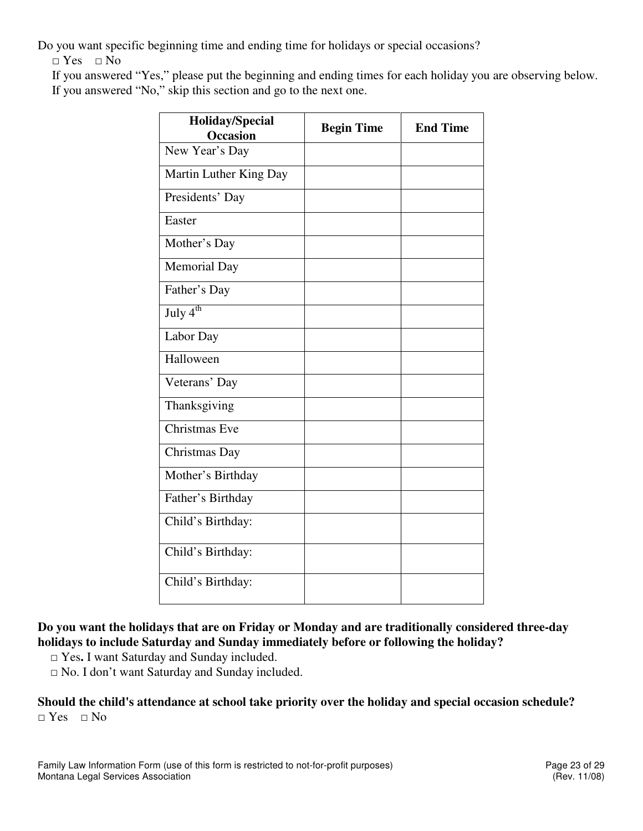Do you want specific beginning time and ending time for holidays or special occasions?

□ Yes□ No

If you answered "Yes," please put the beginning and ending times for each holiday you are observing below. If you answered "No," skip this section and go to the next one.

| <b>Holiday/Special</b><br><b>Occasion</b> | <b>Begin Time</b> | <b>End Time</b> |
|-------------------------------------------|-------------------|-----------------|
| New Year's Day                            |                   |                 |
| Martin Luther King Day                    |                   |                 |
| Presidents' Day                           |                   |                 |
| Easter                                    |                   |                 |
| Mother's Day                              |                   |                 |
| <b>Memorial Day</b>                       |                   |                 |
| Father's Day                              |                   |                 |
| July $4^{th}$                             |                   |                 |
| Labor Day                                 |                   |                 |
| Halloween                                 |                   |                 |
| Veterans' Day                             |                   |                 |
| Thanksgiving                              |                   |                 |
| Christmas Eve                             |                   |                 |
| Christmas Day                             |                   |                 |
| Mother's Birthday                         |                   |                 |
| Father's Birthday                         |                   |                 |
| Child's Birthday:                         |                   |                 |
| Child's Birthday:                         |                   |                 |
| Child's Birthday:                         |                   |                 |

# **Do you want the holidays that are on Friday or Monday and are traditionally considered three-day holidays to include Saturday and Sunday immediately before or following the holiday?**

□ Yes. I want Saturday and Sunday included.

□ No. I don't want Saturday and Sunday included.

# **Should the child's attendance at school take priority over the holiday and special occasion schedule?**  □ Yes□ No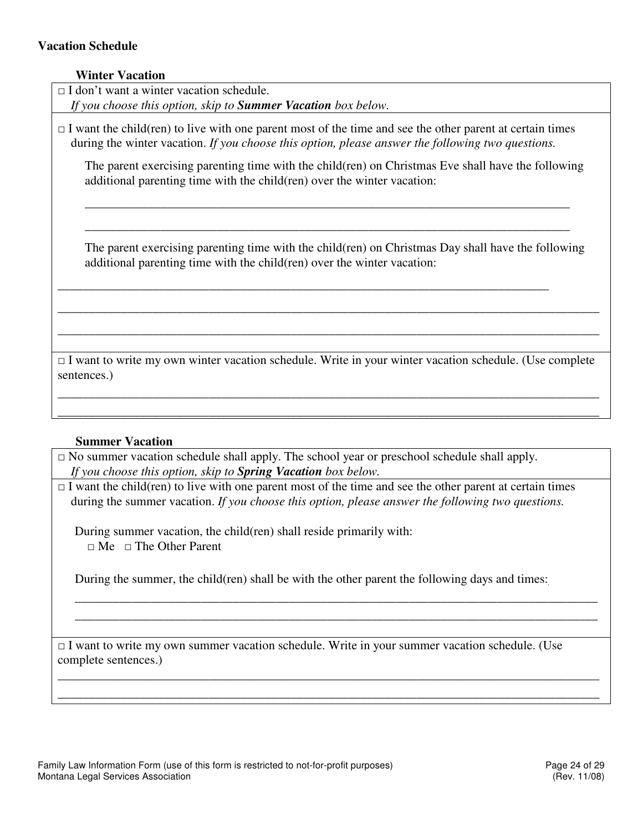## **Vacation Schedule**

| additional parenting time with the child (ren) over the winter vacation: | The parent exercising parenting time with the child(ren) on Christmas Eve shall have the following                                                                             |
|--------------------------------------------------------------------------|--------------------------------------------------------------------------------------------------------------------------------------------------------------------------------|
|                                                                          |                                                                                                                                                                                |
|                                                                          |                                                                                                                                                                                |
|                                                                          | The parent exercising parenting time with the child (ren) on Christmas Day shall have the following<br>additional parenting time with the child(ren) over the winter vacation: |

#### **Summer Vacation**

 $\Box$  No summer vacation schedule shall apply. The school year or preschool schedule shall apply. *If you choose this option, skip to Spring Vacation box below.* 

 $\Box$  I want the child(ren) to live with one parent most of the time and see the other parent at certain times during the summer vacation. *If you choose this option, please answer the following two questions.* 

\_\_\_\_\_\_\_\_\_\_\_\_\_\_\_\_\_\_\_\_\_\_\_\_\_\_\_\_\_\_\_\_\_\_\_\_\_\_\_\_\_\_\_\_\_\_\_\_\_\_\_\_\_\_\_\_\_\_\_\_\_\_\_\_\_\_\_\_\_\_\_\_\_\_\_\_\_\_\_\_\_\_\_\_\_\_ \_\_\_\_\_\_\_\_\_\_\_\_\_\_\_\_\_\_\_\_\_\_\_\_\_\_\_\_\_\_\_\_\_\_\_\_\_\_\_\_\_\_\_\_\_\_\_\_\_\_\_\_\_\_\_\_\_\_\_\_\_\_\_\_\_\_\_\_\_\_\_\_\_\_\_\_\_\_\_\_\_\_\_\_\_\_

During summer vacation, the child(ren) shall reside primarily with:  $\Box$  Me  $\Box$  The Other Parent

During the summer, the child(ren) shall be with the other parent the following days and times:

\_\_\_\_\_\_\_\_\_\_\_\_\_\_\_\_\_\_\_\_\_\_\_\_\_\_\_\_\_\_\_\_\_\_\_\_\_\_\_\_\_\_\_\_\_\_\_\_\_\_\_\_\_\_\_\_\_\_\_\_\_\_\_\_\_\_\_\_\_\_\_\_\_\_\_\_\_\_\_\_\_\_\_ \_\_\_\_\_\_\_\_\_\_\_\_\_\_\_\_\_\_\_\_\_\_\_\_\_\_\_\_\_\_\_\_\_\_\_\_\_\_\_\_\_\_\_\_\_\_\_\_\_\_\_\_\_\_\_\_\_\_\_\_\_\_\_\_\_\_\_\_\_\_\_\_\_\_\_\_\_\_\_\_\_\_\_

 $\Box$  I want to write my own summer vacation schedule. Write in your summer vacation schedule. (Use complete sentences.)

\_\_\_\_\_\_\_\_\_\_\_\_\_\_\_\_\_\_\_\_\_\_\_\_\_\_\_\_\_\_\_\_\_\_\_\_\_\_\_\_\_\_\_\_\_\_\_\_\_\_\_\_\_\_\_\_\_\_\_\_\_\_\_\_\_\_\_\_\_\_\_\_\_\_\_\_\_\_\_\_\_\_\_\_\_\_ \_\_\_\_\_\_\_\_\_\_\_\_\_\_\_\_\_\_\_\_\_\_\_\_\_\_\_\_\_\_\_\_\_\_\_\_\_\_\_\_\_\_\_\_\_\_\_\_\_\_\_\_\_\_\_\_\_\_\_\_\_\_\_\_\_\_\_\_\_\_\_\_\_\_\_\_\_\_\_\_\_\_\_\_\_\_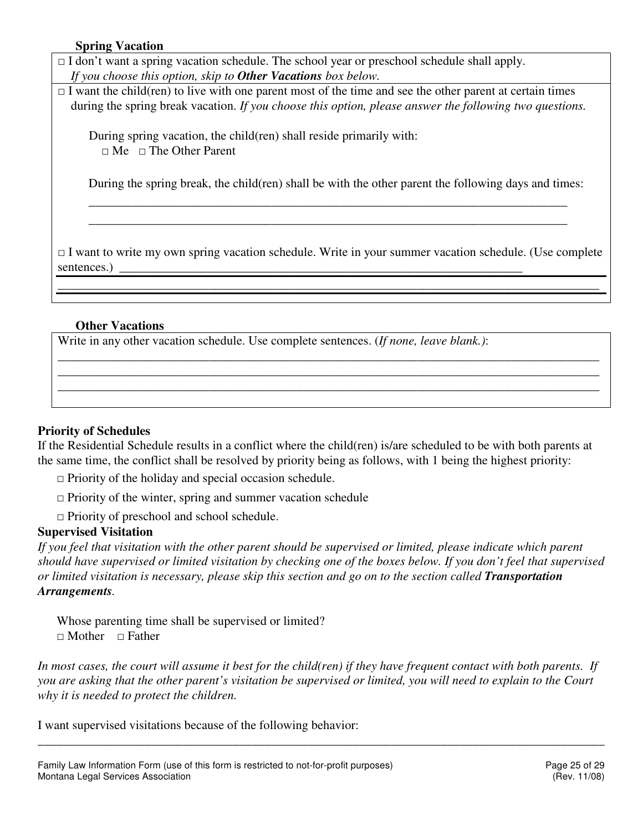# **Spring Vacation**

- $\Box$  I don't want a spring vacation schedule. The school year or preschool schedule shall apply. *If you choose this option, skip to Other Vacations box below.*
- $\Box$  I want the child(ren) to live with one parent most of the time and see the other parent at certain times during the spring break vacation. *If you choose this option, please answer the following two questions.*

During spring vacation, the child(ren) shall reside primarily with:  $\Box$  Me  $\Box$  The Other Parent

During the spring break, the child(ren) shall be with the other parent the following days and times:

\_\_\_\_\_\_\_\_\_\_\_\_\_\_\_\_\_\_\_\_\_\_\_\_\_\_\_\_\_\_\_\_\_\_\_\_\_\_\_\_\_\_\_\_\_\_\_\_\_\_\_\_\_\_\_\_\_\_\_\_\_\_\_\_\_\_\_\_\_\_\_\_\_\_\_\_ \_\_\_\_\_\_\_\_\_\_\_\_\_\_\_\_\_\_\_\_\_\_\_\_\_\_\_\_\_\_\_\_\_\_\_\_\_\_\_\_\_\_\_\_\_\_\_\_\_\_\_\_\_\_\_\_\_\_\_\_\_\_\_\_\_\_\_\_\_\_\_\_\_\_\_\_

 $\Box$  I want to write my own spring vacation schedule. Write in your summer vacation schedule. (Use complete sentences.)

\_\_\_\_\_\_\_\_\_\_\_\_\_\_\_\_\_\_\_\_\_\_\_\_\_\_\_\_\_\_\_\_\_\_\_\_\_\_\_\_\_\_\_\_\_\_\_\_\_\_\_\_\_\_\_\_\_\_\_\_\_\_\_\_\_\_\_\_\_\_\_\_\_\_\_\_\_\_\_\_\_\_\_\_\_\_

\_\_\_\_\_\_\_\_\_\_\_\_\_\_\_\_\_\_\_\_\_\_\_\_\_\_\_\_\_\_\_\_\_\_\_\_\_\_\_\_\_\_\_\_\_\_\_\_\_\_\_\_\_\_\_\_\_\_\_\_\_\_\_\_\_\_\_\_\_\_\_\_\_\_\_\_\_\_\_\_\_\_\_\_\_\_ \_\_\_\_\_\_\_\_\_\_\_\_\_\_\_\_\_\_\_\_\_\_\_\_\_\_\_\_\_\_\_\_\_\_\_\_\_\_\_\_\_\_\_\_\_\_\_\_\_\_\_\_\_\_\_\_\_\_\_\_\_\_\_\_\_\_\_\_\_\_\_\_\_\_\_\_\_\_\_\_\_\_\_\_\_\_ \_\_\_\_\_\_\_\_\_\_\_\_\_\_\_\_\_\_\_\_\_\_\_\_\_\_\_\_\_\_\_\_\_\_\_\_\_\_\_\_\_\_\_\_\_\_\_\_\_\_\_\_\_\_\_\_\_\_\_\_\_\_\_\_\_\_\_\_\_\_\_\_\_\_\_\_\_\_\_\_\_\_\_\_\_\_

# **Other Vacations**

Write in any other vacation schedule. Use complete sentences. (*If none, leave blank.)*:

#### **Priority of Schedules**

If the Residential Schedule results in a conflict where the child(ren) is/are scheduled to be with both parents at the same time, the conflict shall be resolved by priority being as follows, with 1 being the highest priority:

- $\Box$  Priority of the holiday and special occasion schedule.
- $\Box$  Priority of the winter, spring and summer vacation schedule
- □ Priority of preschool and school schedule.

# **Supervised Visitation**

*If you feel that visitation with the other parent should be supervised or limited, please indicate which parent should have supervised or limited visitation by checking one of the boxes below. If you don't feel that supervised or limited visitation is necessary, please skip this section and go on to the section called Transportation Arrangements.* 

Whose parenting time shall be supervised or limited? □ Mother □ Father

*In most cases, the court will assume it best for the child(ren) if they have frequent contact with both parents. If you are asking that the other parent's visitation be supervised or limited, you will need to explain to the Court why it is needed to protect the children.* 

\_\_\_\_\_\_\_\_\_\_\_\_\_\_\_\_\_\_\_\_\_\_\_\_\_\_\_\_\_\_\_\_\_\_\_\_\_\_\_\_\_\_\_\_\_\_\_\_\_\_\_\_\_\_\_\_\_\_\_\_\_\_\_\_\_\_\_\_\_\_\_\_\_\_\_\_\_\_\_\_\_\_\_\_\_\_\_\_\_\_

I want supervised visitations because of the following behavior: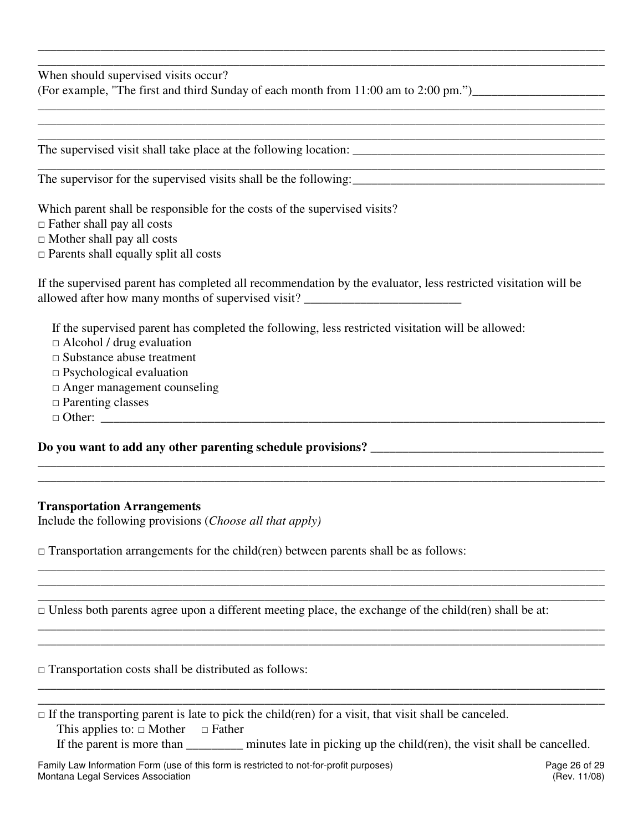When should supervised visits occur?

| (For example, "The first and third Sunday of each month from 11:00 am to 2:00 pm.") |  |
|-------------------------------------------------------------------------------------|--|
|-------------------------------------------------------------------------------------|--|

The supervised visit shall take place at the following location: \_\_\_\_\_\_\_\_\_\_\_\_\_\_\_\_\_\_\_\_\_\_\_\_\_\_\_\_\_\_\_\_\_\_\_\_\_\_\_\_

The supervisor for the supervised visits shall be the following:

Which parent shall be responsible for the costs of the supervised visits?

□ Father shall pay all costs

 $\Box$  Mother shall pay all costs

 $\Box$  Parents shall equally split all costs

If the supervised parent has completed all recommendation by the evaluator, less restricted visitation will be allowed after how many months of supervised visit? \_\_\_\_\_\_\_\_\_\_\_\_\_\_\_\_\_\_\_\_\_\_\_\_\_\_\_\_\_\_

**\_\_\_\_\_\_\_\_\_\_\_\_\_\_\_\_\_\_\_\_\_\_\_\_\_\_\_\_\_\_\_\_\_\_\_\_\_\_\_\_\_\_\_\_\_\_\_\_\_\_\_\_\_\_\_\_\_\_\_\_\_\_\_\_\_\_\_\_\_\_\_\_\_\_\_\_\_\_\_\_\_\_\_\_\_\_\_\_\_\_ \_\_\_\_\_\_\_\_\_\_\_\_\_\_\_\_\_\_\_\_\_\_\_\_\_\_\_\_\_\_\_\_\_\_\_\_\_\_\_\_\_\_\_\_\_\_\_\_\_\_\_\_\_\_\_\_\_\_\_\_\_\_\_\_\_\_\_\_\_\_\_\_\_\_\_\_\_\_\_\_\_\_\_\_\_\_\_\_\_\_** 

\_\_\_\_\_\_\_\_\_\_\_\_\_\_\_\_\_\_\_\_\_\_\_\_\_\_\_\_\_\_\_\_\_\_\_\_\_\_\_\_\_\_\_\_\_\_\_\_\_\_\_\_\_\_\_\_\_\_\_\_\_\_\_\_\_\_\_\_\_\_\_\_\_\_\_\_\_\_\_\_\_\_\_\_\_\_\_\_\_\_ \_\_\_\_\_\_\_\_\_\_\_\_\_\_\_\_\_\_\_\_\_\_\_\_\_\_\_\_\_\_\_\_\_\_\_\_\_\_\_\_\_\_\_\_\_\_\_\_\_\_\_\_\_\_\_\_\_\_\_\_\_\_\_\_\_\_\_\_\_\_\_\_\_\_\_\_\_\_\_\_\_\_\_\_\_\_\_\_\_\_ \_\_\_\_\_\_\_\_\_\_\_\_\_\_\_\_\_\_\_\_\_\_\_\_\_\_\_\_\_\_\_\_\_\_\_\_\_\_\_\_\_\_\_\_\_\_\_\_\_\_\_\_\_\_\_\_\_\_\_\_\_\_\_\_\_\_\_\_\_\_\_\_\_\_\_\_\_\_\_\_\_\_\_\_\_\_\_\_\_\_

\_\_\_\_\_\_\_\_\_\_\_\_\_\_\_\_\_\_\_\_\_\_\_\_\_\_\_\_\_\_\_\_\_\_\_\_\_\_\_\_\_\_\_\_\_\_\_\_\_\_\_\_\_\_\_\_\_\_\_\_\_\_\_\_\_\_\_\_\_\_\_\_\_\_\_\_\_\_\_\_\_\_\_\_\_\_\_\_\_\_ \_\_\_\_\_\_\_\_\_\_\_\_\_\_\_\_\_\_\_\_\_\_\_\_\_\_\_\_\_\_\_\_\_\_\_\_\_\_\_\_\_\_\_\_\_\_\_\_\_\_\_\_\_\_\_\_\_\_\_\_\_\_\_\_\_\_\_\_\_\_\_\_\_\_\_\_\_\_\_\_\_\_\_\_\_\_\_\_\_\_

\_\_\_\_\_\_\_\_\_\_\_\_\_\_\_\_\_\_\_\_\_\_\_\_\_\_\_\_\_\_\_\_\_\_\_\_\_\_\_\_\_\_\_\_\_\_\_\_\_\_\_\_\_\_\_\_\_\_\_\_\_\_\_\_\_\_\_\_\_\_\_\_\_\_\_\_\_\_\_\_\_\_\_\_\_\_\_\_\_\_ \_\_\_\_\_\_\_\_\_\_\_\_\_\_\_\_\_\_\_\_\_\_\_\_\_\_\_\_\_\_\_\_\_\_\_\_\_\_\_\_\_\_\_\_\_\_\_\_\_\_\_\_\_\_\_\_\_\_\_\_\_\_\_\_\_\_\_\_\_\_\_\_\_\_\_\_\_\_\_\_\_\_\_\_\_\_\_\_\_\_

\_\_\_\_\_\_\_\_\_\_\_\_\_\_\_\_\_\_\_\_\_\_\_\_\_\_\_\_\_\_\_\_\_\_\_\_\_\_\_\_\_\_\_\_\_\_\_\_\_\_\_\_\_\_\_\_\_\_\_\_\_\_\_\_\_\_\_\_\_\_\_\_\_\_\_\_\_\_\_\_\_\_\_\_\_\_\_\_\_\_ \_\_\_\_\_\_\_\_\_\_\_\_\_\_\_\_\_\_\_\_\_\_\_\_\_\_\_\_\_\_\_\_\_\_\_\_\_\_\_\_\_\_\_\_\_\_\_\_\_\_\_\_\_\_\_\_\_\_\_\_\_\_\_\_\_\_\_\_\_\_\_\_\_\_\_\_\_\_\_\_\_\_\_\_\_\_\_\_\_\_

\_\_\_\_\_\_\_\_\_\_\_\_\_\_\_\_\_\_\_\_\_\_\_\_\_\_\_\_\_\_\_\_\_\_\_\_\_\_\_\_\_\_\_\_\_\_\_\_\_\_\_\_\_\_\_\_\_\_\_\_\_\_\_\_\_\_\_\_\_\_\_\_\_\_\_\_\_\_\_\_\_\_\_\_\_\_\_\_\_\_ \_\_\_\_\_\_\_\_\_\_\_\_\_\_\_\_\_\_\_\_\_\_\_\_\_\_\_\_\_\_\_\_\_\_\_\_\_\_\_\_\_\_\_\_\_\_\_\_\_\_\_\_\_\_\_\_\_\_\_\_\_\_\_\_\_\_\_\_\_\_\_\_\_\_\_\_\_\_\_\_\_\_\_\_\_\_\_\_\_\_ \_\_\_\_\_\_\_\_\_\_\_\_\_\_\_\_\_\_\_\_\_\_\_\_\_\_\_\_\_\_\_\_\_\_\_\_\_\_\_\_\_\_\_\_\_\_\_\_\_\_\_\_\_\_\_\_\_\_\_\_\_\_\_\_\_\_\_\_\_\_\_\_\_\_\_\_\_\_\_\_\_\_\_\_\_\_\_\_\_\_

\_\_\_\_\_\_\_\_\_\_\_\_\_\_\_\_\_\_\_\_\_\_\_\_\_\_\_\_\_\_\_\_\_\_\_\_\_\_\_\_\_\_\_\_\_\_\_\_\_\_\_\_\_\_\_\_\_\_\_\_\_\_\_\_\_\_\_\_\_\_\_\_\_\_\_\_\_\_\_\_\_\_\_\_\_\_\_\_\_\_

If the supervised parent has completed the following, less restricted visitation will be allowed:

□ Alcohol / drug evaluation

- $\Box$  Substance abuse treatment
- $\square$  Psychological evaluation
- □ Anger management counseling
- □ Parenting classes
- $\Box$  Other:

#### **Do you want to add any other parenting schedule provisions? \_\_\_\_\_\_\_\_\_\_\_\_\_\_\_\_\_\_\_\_\_\_\_\_\_\_\_\_\_\_\_\_\_\_\_\_\_**

#### **Transportation Arrangements**

Include the following provisions (*Choose all that apply)* 

 $\Box$  Transportation arrangements for the child(ren) between parents shall be as follows:

 $\Box$  Unless both parents agree upon a different meeting place, the exchange of the child(ren) shall be at:

 $\Box$  Transportation costs shall be distributed as follows:

|                                                    | $\Box$ If the transporting parent is late to pick the child(ren) for a visit, that visit shall be canceled. |  |
|----------------------------------------------------|-------------------------------------------------------------------------------------------------------------|--|
| This applies to: $\square$ Mother $\square$ Father |                                                                                                             |  |

If the parent is more than  $\qquad \qquad$  minutes late in picking up the child(ren), the visit shall be cancelled.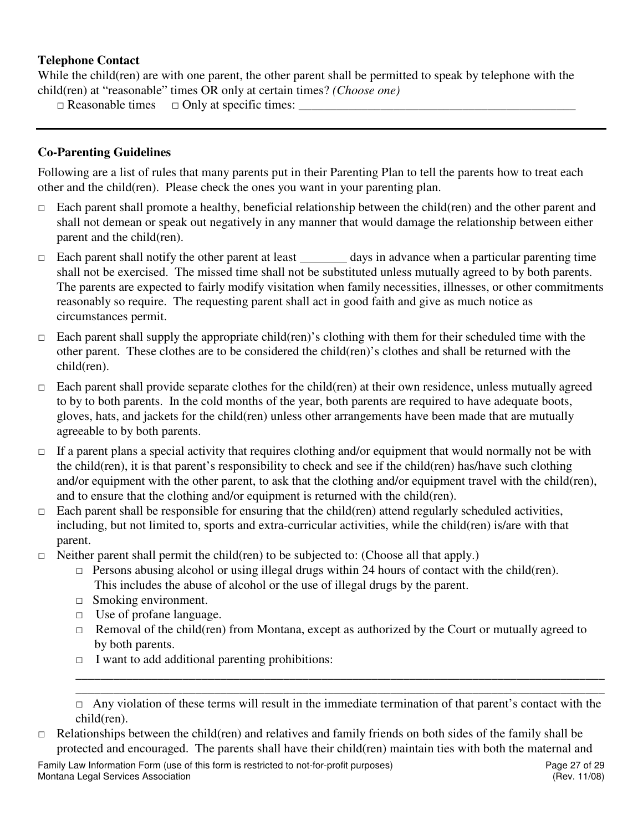# **Telephone Contact**

While the child(ren) are with one parent, the other parent shall be permitted to speak by telephone with the child(ren) at "reasonable" times OR only at certain times? *(Choose one)* 

 $\Box$  Reasonable times  $\Box$  Only at specific times:

# **Co-Parenting Guidelines**

Following are a list of rules that many parents put in their Parenting Plan to tell the parents how to treat each other and the child(ren). Please check the ones you want in your parenting plan.

- $\Box$  Each parent shall promote a healthy, beneficial relationship between the child(ren) and the other parent and shall not demean or speak out negatively in any manner that would damage the relationship between either parent and the child(ren).
- □ Each parent shall notify the other parent at least days in advance when a particular parenting time shall not be exercised. The missed time shall not be substituted unless mutually agreed to by both parents. The parents are expected to fairly modify visitation when family necessities, illnesses, or other commitments reasonably so require. The requesting parent shall act in good faith and give as much notice as circumstances permit.
- $\Box$  Each parent shall supply the appropriate child(ren)'s clothing with them for their scheduled time with the other parent. These clothes are to be considered the child(ren)'s clothes and shall be returned with the child(ren).
- $\Box$  Each parent shall provide separate clothes for the child(ren) at their own residence, unless mutually agreed to by to both parents. In the cold months of the year, both parents are required to have adequate boots, gloves, hats, and jackets for the child(ren) unless other arrangements have been made that are mutually agreeable to by both parents.
- □ If a parent plans a special activity that requires clothing and/or equipment that would normally not be with the child(ren), it is that parent's responsibility to check and see if the child(ren) has/have such clothing and/or equipment with the other parent, to ask that the clothing and/or equipment travel with the child(ren), and to ensure that the clothing and/or equipment is returned with the child(ren).
- $\Box$  Each parent shall be responsible for ensuring that the child(ren) attend regularly scheduled activities, including, but not limited to, sports and extra-curricular activities, while the child(ren) is/are with that parent.
- $\Box$  Neither parent shall permit the child(ren) to be subjected to: (Choose all that apply.)
	- $\Box$  Persons abusing alcohol or using illegal drugs within 24 hours of contact with the child(ren). This includes the abuse of alcohol or the use of illegal drugs by the parent.
	- □ Smoking environment.
	- □ Use of profane language.
	- $\Box$  Removal of the child(ren) from Montana, except as authorized by the Court or mutually agreed to by both parents.
	- $\Box$  I want to add additional parenting prohibitions:

\_\_\_\_\_\_\_\_\_\_\_\_\_\_\_\_\_\_\_\_\_\_\_\_\_\_\_\_\_\_\_\_\_\_\_\_\_\_\_\_\_\_\_\_\_\_\_\_\_\_\_\_\_\_\_\_\_\_\_\_\_\_\_\_\_\_\_\_\_\_\_\_\_\_\_\_\_\_\_\_\_\_\_\_ \_\_\_\_\_\_\_\_\_\_\_\_\_\_\_\_\_\_\_\_\_\_\_\_\_\_\_\_\_\_\_\_\_\_\_\_\_\_\_\_\_\_\_\_\_\_\_\_\_\_\_\_\_\_\_\_\_\_\_\_\_\_\_\_\_\_\_\_\_\_\_\_\_\_\_\_\_\_\_\_\_\_\_\_

 $\Box$  Relationships between the child(ren) and relatives and family friends on both sides of the family shall be protected and encouraged. The parents shall have their child(ren) maintain ties with both the maternal and

Family Law Information Form (use of this form is restricted to not-for-profit purposes) Page 27 of 29 Montana Legal Services Association (Rev. 11/08)

 $\Box$  Any violation of these terms will result in the immediate termination of that parent's contact with the child(ren).